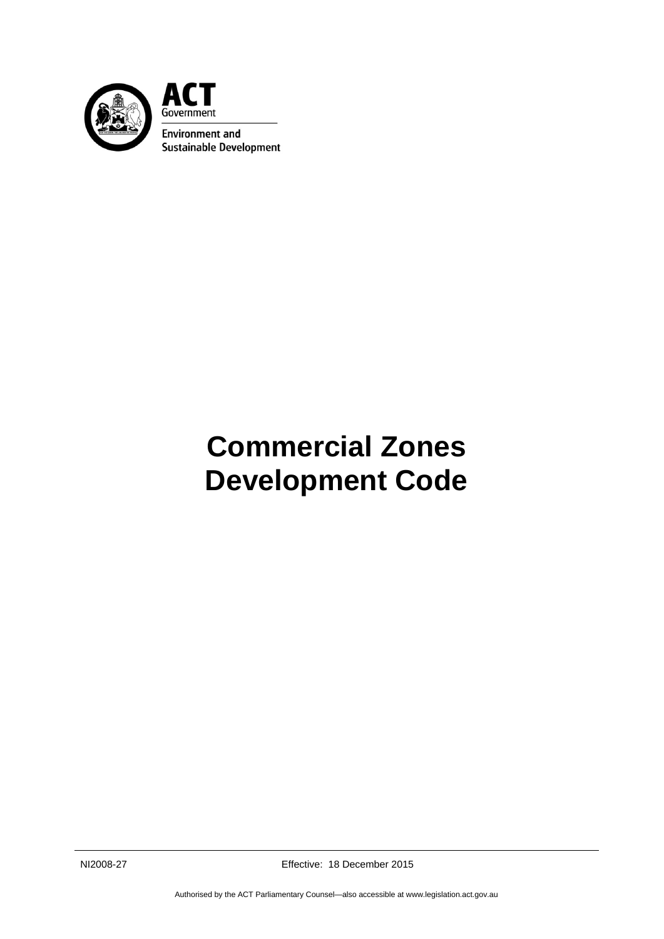

ACT Government **Environment and Sustainable Development** 

# **Commercial Zones Development Code**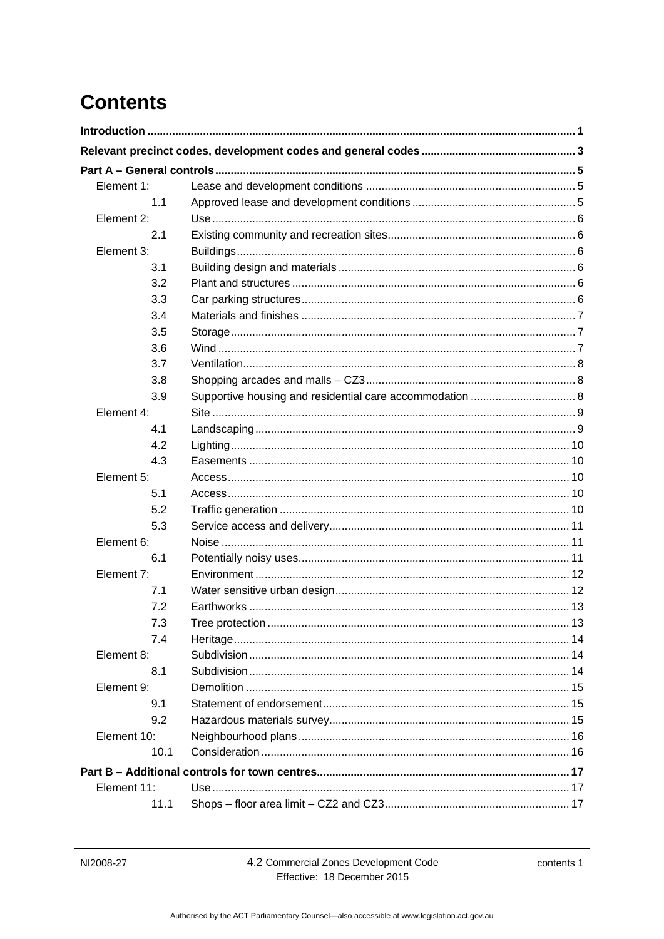# **Contents**

| Element 1:  |                 |    |
|-------------|-----------------|----|
| 1.1         |                 |    |
| Element 2:  |                 |    |
| 2.1         |                 |    |
| Element 3:  |                 |    |
| 3.1         |                 |    |
| 3.2         |                 |    |
| 3.3         |                 |    |
| 3.4         |                 |    |
| 3.5         |                 |    |
| 3.6         |                 |    |
| 3.7         |                 |    |
| 3.8         |                 |    |
| 3.9         |                 |    |
| Element 4:  |                 |    |
| 4.1         |                 |    |
| 4.2         |                 |    |
| 4.3         |                 |    |
| Element 5:  |                 |    |
| 5.1         |                 |    |
| 5.2         |                 |    |
| 5.3         |                 |    |
| Element 6:  |                 |    |
| 6.1         |                 |    |
| Element 7:  |                 |    |
| 7.1         |                 |    |
| 7.2         |                 |    |
| 7.3         | Tree protection | 13 |
| 7.4         |                 |    |
| Element 8:  |                 |    |
| 8.1         |                 |    |
| Element 9:  |                 |    |
| 9.1         |                 |    |
| 9.2         |                 |    |
| Element 10: |                 |    |
| 10.1        |                 |    |
|             |                 |    |
| Element 11: |                 |    |
| 11.1        |                 |    |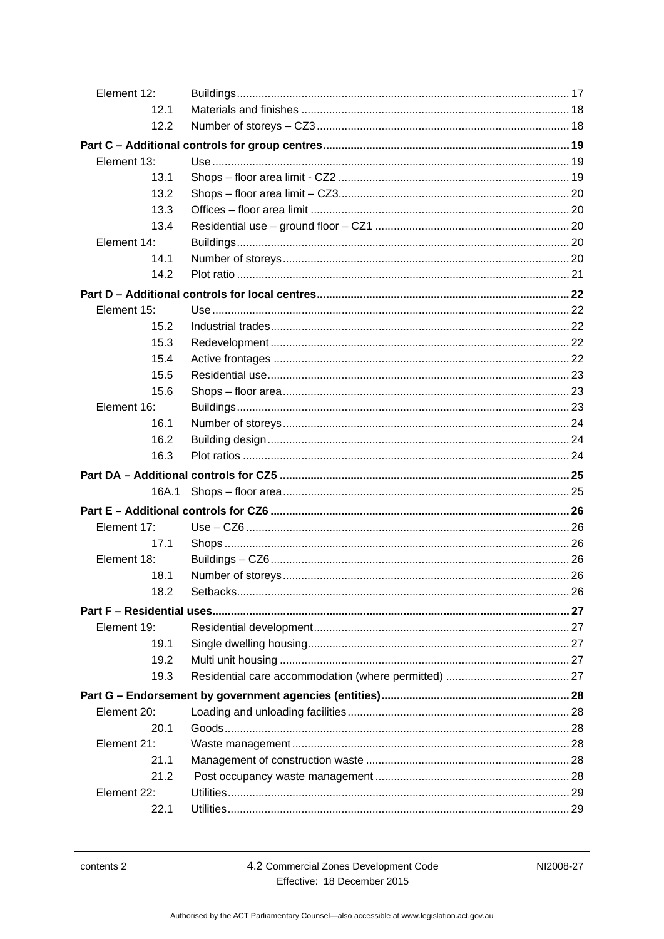| Element 12: |  |
|-------------|--|
| 12.1        |  |
| 12.2        |  |
|             |  |
| Element 13: |  |
| 13.1        |  |
| 13.2        |  |
| 13.3        |  |
| 13.4        |  |
| Element 14: |  |
| 14.1        |  |
| 14.2        |  |
|             |  |
| Element 15: |  |
| 15.2        |  |
| 15.3        |  |
| 15.4        |  |
| 15.5        |  |
| 15.6        |  |
| Element 16: |  |
| 16.1        |  |
| 16.2        |  |
| 16.3        |  |
|             |  |
| 16A.1       |  |
|             |  |
| Element 17: |  |
| 17.1        |  |
| Element 18: |  |
| 18.1        |  |
| 18.2        |  |
|             |  |
| Element 19: |  |
| 19.1        |  |
| 19.2        |  |
| 19.3        |  |
|             |  |
| Element 20: |  |
| 20.1        |  |
| Element 21: |  |
| 21.1        |  |
| 21.2        |  |
| Element 22: |  |
| 22.1        |  |
|             |  |

4.2 Commercial Zones Development Code Effective: 18 December 2015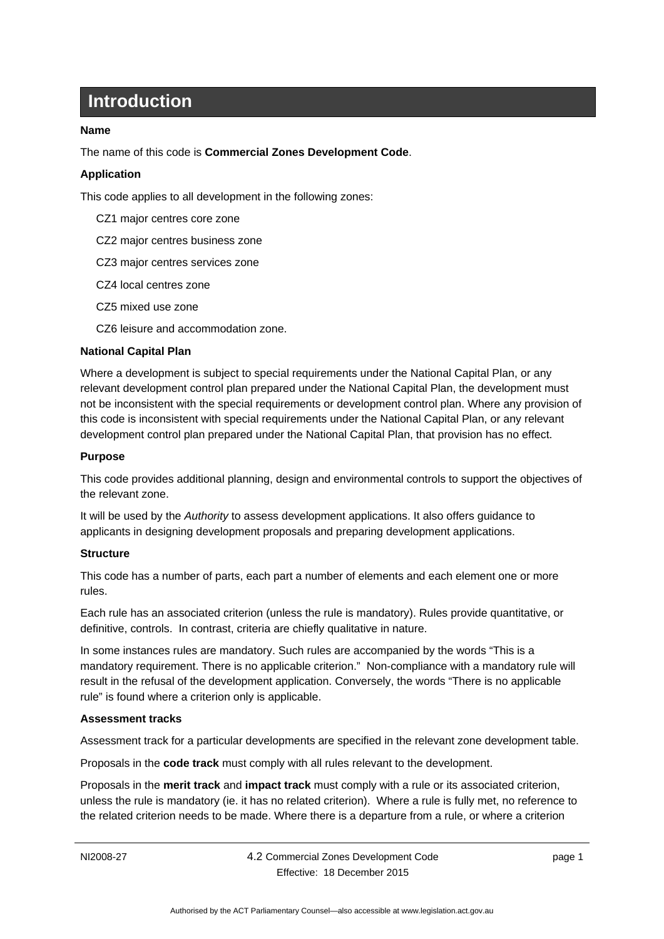# **Introduction**

#### <span id="page-6-0"></span>**Name**

The name of this code is **Commercial Zones Development Code**.

#### **Application**

This code applies to all development in the following zones:

- CZ1 major centres core zone
- CZ2 major centres business zone
- CZ3 major centres services zone
- CZ4 local centres zone
- CZ5 mixed use zone
- CZ6 leisure and accommodation zone.

#### **National Capital Plan**

Where a development is subject to special requirements under the National Capital Plan, or any relevant development control plan prepared under the National Capital Plan, the development must not be inconsistent with the special requirements or development control plan. Where any provision of this code is inconsistent with special requirements under the National Capital Plan, or any relevant development control plan prepared under the National Capital Plan, that provision has no effect.

#### **Purpose**

This code provides additional planning, design and environmental controls to support the objectives of the relevant zone.

It will be used by the *Authority* to assess development applications. It also offers guidance to applicants in designing development proposals and preparing development applications.

#### **Structure**

This code has a number of parts, each part a number of elements and each element one or more rules.

Each rule has an associated criterion (unless the rule is mandatory). Rules provide quantitative, or definitive, controls. In contrast, criteria are chiefly qualitative in nature.

In some instances rules are mandatory. Such rules are accompanied by the words "This is a mandatory requirement. There is no applicable criterion." Non-compliance with a mandatory rule will result in the refusal of the development application. Conversely, the words "There is no applicable rule" is found where a criterion only is applicable.

#### **Assessment tracks**

Assessment track for a particular developments are specified in the relevant zone development table.

Proposals in the **code track** must comply with all rules relevant to the development.

Proposals in the **merit track** and **impact track** must comply with a rule or its associated criterion, unless the rule is mandatory (ie. it has no related criterion). Where a rule is fully met, no reference to the related criterion needs to be made. Where there is a departure from a rule, or where a criterion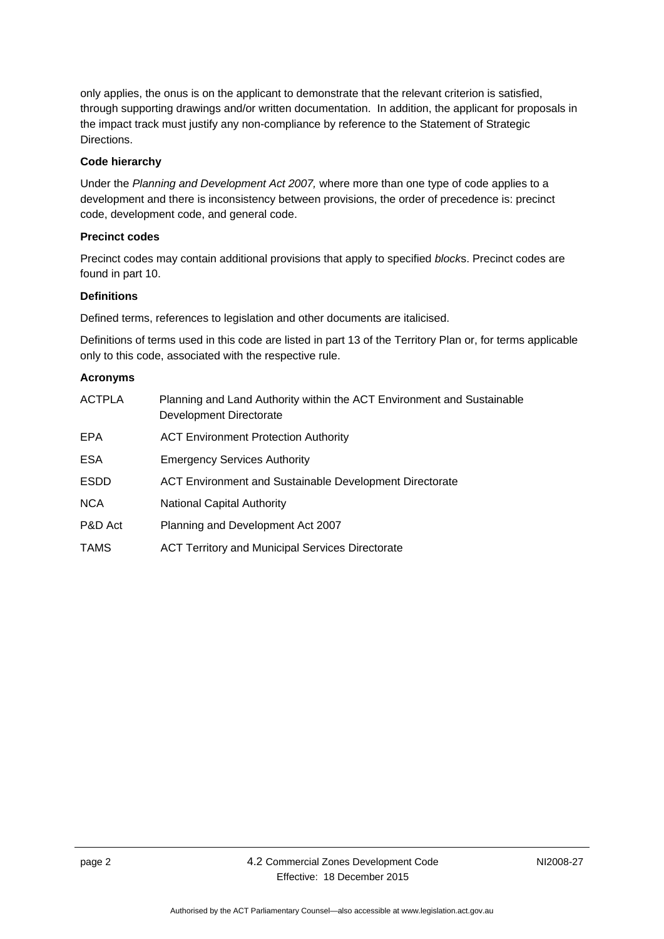only applies, the onus is on the applicant to demonstrate that the relevant criterion is satisfied, through supporting drawings and/or written documentation. In addition, the applicant for proposals in the impact track must justify any non-compliance by reference to the Statement of Strategic Directions.

#### **Code hierarchy**

Under the *Planning and Development Act 2007,* where more than one type of code applies to a development and there is inconsistency between provisions, the order of precedence is: precinct code, development code, and general code.

#### **Precinct codes**

Precinct codes may contain additional provisions that apply to specified *block*s. Precinct codes are found in part 10.

#### **Definitions**

Defined terms, references to legislation and other documents are italicised.

Definitions of terms used in this code are listed in part 13 of the Territory Plan or, for terms applicable only to this code, associated with the respective rule.

#### **Acronyms**

| <b>ACTPLA</b> | Planning and Land Authority within the ACT Environment and Sustainable<br>Development Directorate |
|---------------|---------------------------------------------------------------------------------------------------|
| <b>EPA</b>    | <b>ACT Environment Protection Authority</b>                                                       |
| <b>ESA</b>    | <b>Emergency Services Authority</b>                                                               |
| <b>ESDD</b>   | ACT Environment and Sustainable Development Directorate                                           |
| <b>NCA</b>    | <b>National Capital Authority</b>                                                                 |
| P&D Act       | Planning and Development Act 2007                                                                 |
| <b>TAMS</b>   | <b>ACT Territory and Municipal Services Directorate</b>                                           |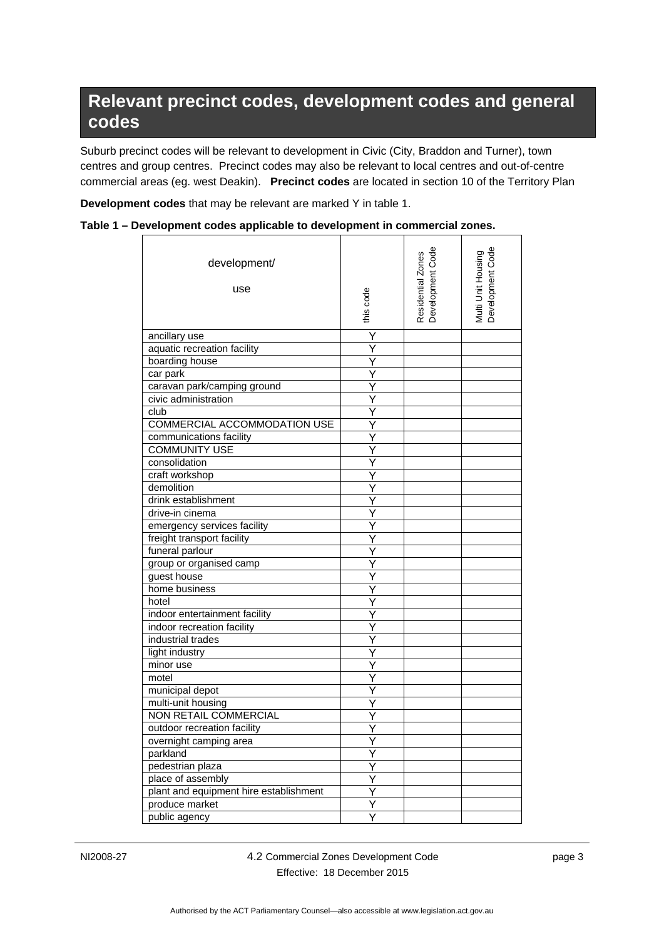# <span id="page-8-0"></span>**Relevant precinct codes, development codes and general codes**

Suburb precinct codes will be relevant to development in Civic (City, Braddon and Turner), town centres and group centres. Precinct codes may also be relevant to local centres and out-of-centre commercial areas (eg. west Deakin). **Precinct codes** are located in section 10 of the Territory Plan

**Development codes** that may be relevant are marked Y in table 1.

| Table 1 – Development codes applicable to development in commercial zones. |  |  |  |
|----------------------------------------------------------------------------|--|--|--|
|----------------------------------------------------------------------------|--|--|--|

| development/<br>use                                         | this code               | Residential Zones<br>Development Code | Multi Unit Housing<br>Development Code |
|-------------------------------------------------------------|-------------------------|---------------------------------------|----------------------------------------|
| ancillary use                                               | Y                       |                                       |                                        |
| aquatic recreation facility                                 | Y                       |                                       |                                        |
| boarding house                                              | Y                       |                                       |                                        |
| car park                                                    | Ý                       |                                       |                                        |
| caravan park/camping ground                                 | Ÿ                       |                                       |                                        |
| civic administration                                        | Ÿ                       |                                       |                                        |
| club                                                        | Y                       |                                       |                                        |
| COMMERCIAL ACCOMMODATION USE                                |                         |                                       |                                        |
| communications facility                                     | Y                       |                                       |                                        |
| <b>COMMUNITY USE</b>                                        | Y                       |                                       |                                        |
| consolidation                                               | Ÿ                       |                                       |                                        |
| craft workshop                                              | Υ                       |                                       |                                        |
| demolition                                                  | Ý                       |                                       |                                        |
| drink establishment                                         | Y                       |                                       |                                        |
| drive-in cinema                                             |                         |                                       |                                        |
| emergency services facility                                 | Υ                       |                                       |                                        |
| freight transport facility                                  | Y                       |                                       |                                        |
| funeral parlour                                             | Y                       |                                       |                                        |
| group or organised camp                                     | Y                       |                                       |                                        |
| guest house                                                 |                         |                                       |                                        |
| home business                                               | Ý                       |                                       |                                        |
| hotel                                                       |                         |                                       |                                        |
|                                                             |                         |                                       |                                        |
| indoor entertainment facility<br>indoor recreation facility | Y<br>Ÿ                  |                                       |                                        |
| industrial trades                                           |                         |                                       |                                        |
|                                                             | Y                       |                                       |                                        |
| light industry                                              | Y                       |                                       |                                        |
| minor use                                                   | Υ                       |                                       |                                        |
| motel                                                       | Y                       |                                       |                                        |
| municipal depot                                             |                         |                                       |                                        |
| multi-unit housing                                          |                         |                                       |                                        |
| <b>NON RETAIL COMMERCIAL</b>                                |                         |                                       |                                        |
| outdoor recreation facility                                 | Y                       |                                       |                                        |
| overnight camping area                                      | Y                       |                                       |                                        |
| parkland                                                    | $\overline{\mathsf{Y}}$ |                                       |                                        |
| pedestrian plaza                                            | Y                       |                                       |                                        |
| place of assembly                                           | Y                       |                                       |                                        |
| plant and equipment hire establishment                      | Y                       |                                       |                                        |
| produce market                                              |                         |                                       |                                        |
| public agency                                               | Y                       |                                       |                                        |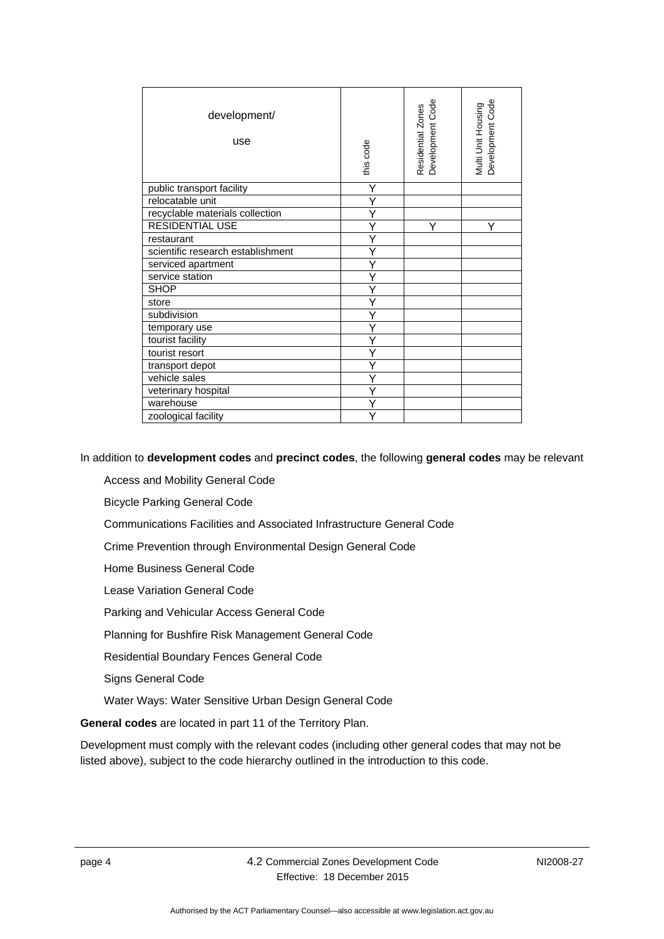| development/<br>use               | this code | Residential Zones<br>Development Code | Development Code<br>Multi Unit Housing |
|-----------------------------------|-----------|---------------------------------------|----------------------------------------|
| public transport facility         | Υ         |                                       |                                        |
| relocatable unit                  |           |                                       |                                        |
| recyclable materials collection   |           |                                       |                                        |
| <b>RESIDENTIAL USE</b>            |           | Υ                                     | Υ                                      |
| restaurant                        |           |                                       |                                        |
| scientific research establishment | Υ         |                                       |                                        |
| serviced apartment                |           |                                       |                                        |
| service station                   |           |                                       |                                        |
| <b>SHOP</b>                       |           |                                       |                                        |
| store                             |           |                                       |                                        |
| subdivision                       | Υ         |                                       |                                        |
| temporary use                     |           |                                       |                                        |
| tourist facility                  |           |                                       |                                        |
| tourist resort                    |           |                                       |                                        |
| transport depot                   |           |                                       |                                        |
| vehicle sales                     | Y         |                                       |                                        |
| veterinary hospital               |           |                                       |                                        |
| warehouse                         | Υ         |                                       |                                        |
| zoological facility               |           |                                       |                                        |

In addition to **development codes** and **precinct codes**, the following **general codes** may be relevant

Access and Mobility General Code

Bicycle Parking General Code

Communications Facilities and Associated Infrastructure General Code

Crime Prevention through Environmental Design General Code

Home Business General Code

Lease Variation General Code

Parking and Vehicular Access General Code

Planning for Bushfire Risk Management General Code

Residential Boundary Fences General Code

Signs General Code

Water Ways: Water Sensitive Urban Design General Code

**General codes** are located in part 11 of the Territory Plan.

Development must comply with the relevant codes (including other general codes that may not be listed above), subject to the code hierarchy outlined in the introduction to this code.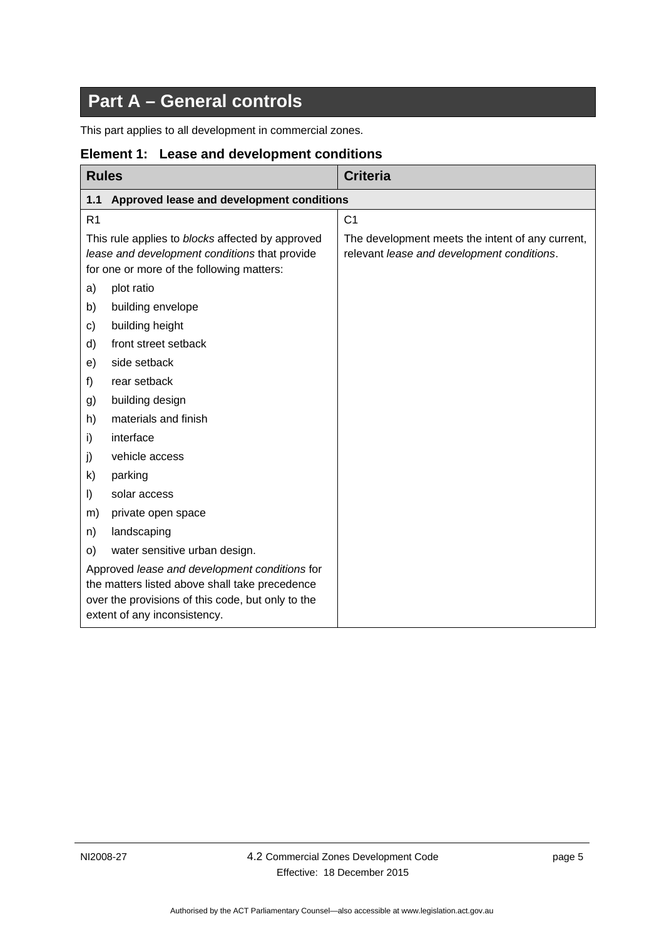# **Part A – General controls**

<span id="page-10-0"></span>This part applies to all development in commercial zones.

<span id="page-10-2"></span>

| <b>Rules</b>                                                                                                                                                                         |                                           | <b>Criteria</b>                                                                                |
|--------------------------------------------------------------------------------------------------------------------------------------------------------------------------------------|-------------------------------------------|------------------------------------------------------------------------------------------------|
| 1.1                                                                                                                                                                                  | Approved lease and development conditions |                                                                                                |
| R <sub>1</sub>                                                                                                                                                                       |                                           | C <sub>1</sub>                                                                                 |
| This rule applies to blocks affected by approved<br>lease and development conditions that provide<br>for one or more of the following matters:                                       |                                           | The development meets the intent of any current,<br>relevant lease and development conditions. |
| a)                                                                                                                                                                                   | plot ratio                                |                                                                                                |
| b)                                                                                                                                                                                   | building envelope                         |                                                                                                |
| c)                                                                                                                                                                                   | building height                           |                                                                                                |
| d)                                                                                                                                                                                   | front street setback                      |                                                                                                |
| e)                                                                                                                                                                                   | side setback                              |                                                                                                |
| f)                                                                                                                                                                                   | rear setback                              |                                                                                                |
| g)                                                                                                                                                                                   | building design                           |                                                                                                |
| h)                                                                                                                                                                                   | materials and finish                      |                                                                                                |
| i)                                                                                                                                                                                   | interface                                 |                                                                                                |
| j)                                                                                                                                                                                   | vehicle access                            |                                                                                                |
| k)                                                                                                                                                                                   | parking                                   |                                                                                                |
| I)                                                                                                                                                                                   | solar access                              |                                                                                                |
| m)                                                                                                                                                                                   | private open space                        |                                                                                                |
| n)                                                                                                                                                                                   | landscaping                               |                                                                                                |
| O)                                                                                                                                                                                   | water sensitive urban design.             |                                                                                                |
| Approved lease and development conditions for<br>the matters listed above shall take precedence<br>over the provisions of this code, but only to the<br>extent of any inconsistency. |                                           |                                                                                                |

### <span id="page-10-1"></span>**Element 1: Lease and development conditions**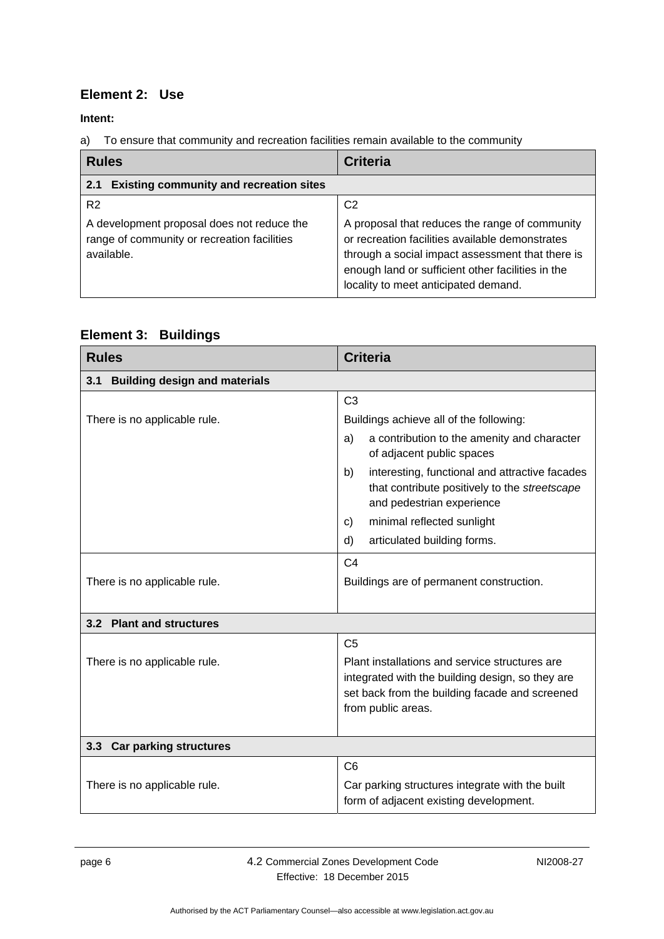### <span id="page-11-0"></span>**Element 2: Use**

**Intent:** 

a) To ensure that community and recreation facilities remain available to the community

<span id="page-11-1"></span>

| <b>Rules</b>                                                                                                              | <b>Criteria</b>                                                                                                                                                                                                                                                      |
|---------------------------------------------------------------------------------------------------------------------------|----------------------------------------------------------------------------------------------------------------------------------------------------------------------------------------------------------------------------------------------------------------------|
| <b>Existing community and recreation sites</b><br>2.1                                                                     |                                                                                                                                                                                                                                                                      |
| R <sub>2</sub><br>A development proposal does not reduce the<br>range of community or recreation facilities<br>available. | C <sub>2</sub><br>A proposal that reduces the range of community<br>or recreation facilities available demonstrates<br>through a social impact assessment that there is<br>enough land or sufficient other facilities in the<br>locality to meet anticipated demand. |

### <span id="page-11-2"></span>**Element 3: Buildings**

<span id="page-11-3"></span>

| <b>Rules</b>                                | <b>Criteria</b>                                                                                                                    |  |  |
|---------------------------------------------|------------------------------------------------------------------------------------------------------------------------------------|--|--|
| <b>Building design and materials</b><br>3.1 |                                                                                                                                    |  |  |
|                                             | C <sub>3</sub>                                                                                                                     |  |  |
| There is no applicable rule.                | Buildings achieve all of the following:                                                                                            |  |  |
|                                             | a contribution to the amenity and character<br>a)<br>of adjacent public spaces                                                     |  |  |
|                                             | interesting, functional and attractive facades<br>b)<br>that contribute positively to the streetscape<br>and pedestrian experience |  |  |
|                                             | minimal reflected sunlight<br>C)                                                                                                   |  |  |
|                                             | articulated building forms.<br>d)                                                                                                  |  |  |
|                                             | C <sub>4</sub>                                                                                                                     |  |  |
| There is no applicable rule.                | Buildings are of permanent construction.                                                                                           |  |  |
|                                             |                                                                                                                                    |  |  |
| 3.2 Plant and structures                    |                                                                                                                                    |  |  |
|                                             | C <sub>5</sub>                                                                                                                     |  |  |
| There is no applicable rule.                | Plant installations and service structures are                                                                                     |  |  |
|                                             | integrated with the building design, so they are                                                                                   |  |  |
|                                             | set back from the building facade and screened<br>from public areas.                                                               |  |  |
|                                             |                                                                                                                                    |  |  |
| <b>Car parking structures</b><br>3.3        |                                                                                                                                    |  |  |
|                                             | C <sub>6</sub>                                                                                                                     |  |  |
| There is no applicable rule.                | Car parking structures integrate with the built<br>form of adjacent existing development.                                          |  |  |

<span id="page-11-5"></span><span id="page-11-4"></span>page 6 4.2 Commercial Zones Development Code Effective: 18 December 2015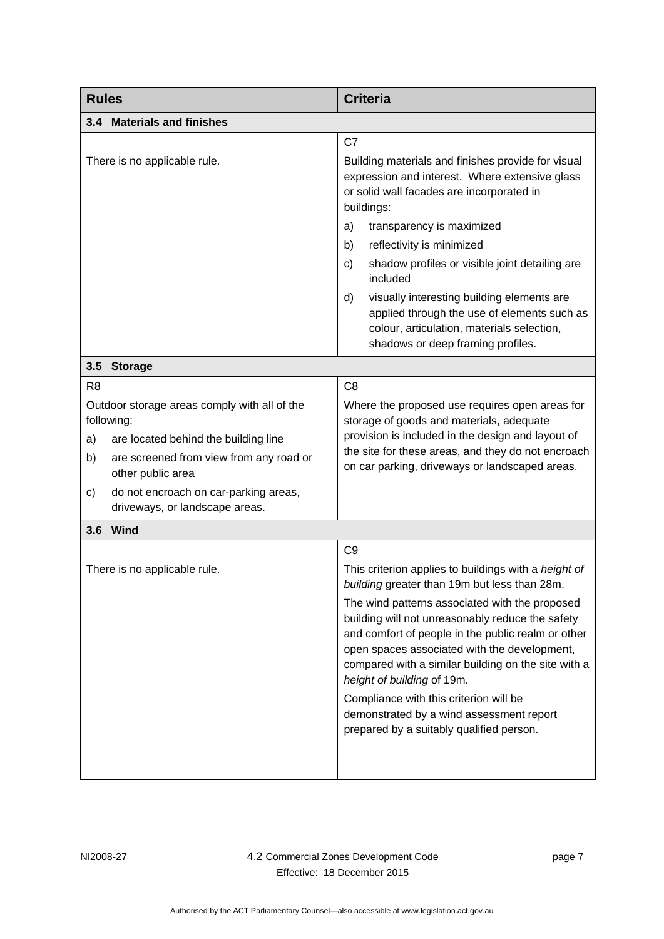<span id="page-12-2"></span><span id="page-12-1"></span><span id="page-12-0"></span>

| <b>Rules</b>                                                                                                                                                                                                                                                                      | <b>Criteria</b>                                                                                                                                                                                                                                                                                                                                                                                                                                                                                                                                           |  |  |
|-----------------------------------------------------------------------------------------------------------------------------------------------------------------------------------------------------------------------------------------------------------------------------------|-----------------------------------------------------------------------------------------------------------------------------------------------------------------------------------------------------------------------------------------------------------------------------------------------------------------------------------------------------------------------------------------------------------------------------------------------------------------------------------------------------------------------------------------------------------|--|--|
| 3.4 Materials and finishes                                                                                                                                                                                                                                                        |                                                                                                                                                                                                                                                                                                                                                                                                                                                                                                                                                           |  |  |
| There is no applicable rule.                                                                                                                                                                                                                                                      | C7<br>Building materials and finishes provide for visual<br>expression and interest. Where extensive glass<br>or solid wall facades are incorporated in<br>buildings:<br>transparency is maximized<br>a)<br>reflectivity is minimized<br>b)<br>shadow profiles or visible joint detailing are<br>c)<br>included<br>visually interesting building elements are<br>d)<br>applied through the use of elements such as<br>colour, articulation, materials selection,<br>shadows or deep framing profiles.                                                     |  |  |
| 3.5<br><b>Storage</b>                                                                                                                                                                                                                                                             |                                                                                                                                                                                                                                                                                                                                                                                                                                                                                                                                                           |  |  |
| R <sub>8</sub><br>Outdoor storage areas comply with all of the<br>following:<br>are located behind the building line<br>a)<br>b)<br>are screened from view from any road or<br>other public area<br>do not encroach on car-parking areas,<br>c)<br>driveways, or landscape areas. | C <sub>8</sub><br>Where the proposed use requires open areas for<br>storage of goods and materials, adequate<br>provision is included in the design and layout of<br>the site for these areas, and they do not encroach<br>on car parking, driveways or landscaped areas.                                                                                                                                                                                                                                                                                 |  |  |
| 3.6 Wind                                                                                                                                                                                                                                                                          |                                                                                                                                                                                                                                                                                                                                                                                                                                                                                                                                                           |  |  |
| There is no applicable rule.                                                                                                                                                                                                                                                      | C <sub>9</sub><br>This criterion applies to buildings with a height of<br>building greater than 19m but less than 28m.<br>The wind patterns associated with the proposed<br>building will not unreasonably reduce the safety<br>and comfort of people in the public realm or other<br>open spaces associated with the development,<br>compared with a similar building on the site with a<br>height of building of 19m.<br>Compliance with this criterion will be<br>demonstrated by a wind assessment report<br>prepared by a suitably qualified person. |  |  |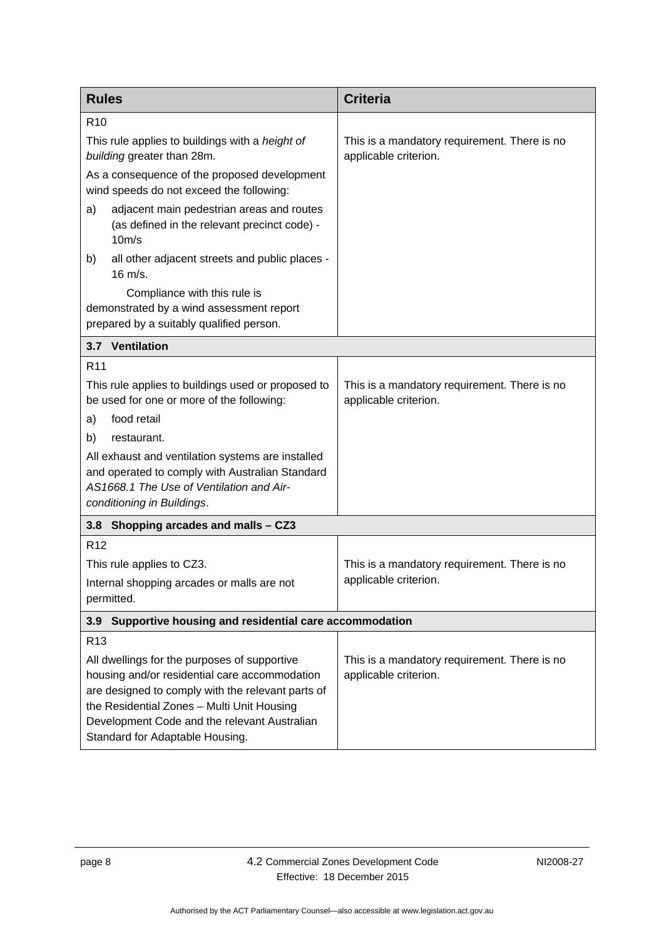<span id="page-13-2"></span><span id="page-13-1"></span><span id="page-13-0"></span>

| <b>Rules</b>                                                                                                                                                                                                                                                                        | <b>Criteria</b>                                                       |  |
|-------------------------------------------------------------------------------------------------------------------------------------------------------------------------------------------------------------------------------------------------------------------------------------|-----------------------------------------------------------------------|--|
| R <sub>10</sub>                                                                                                                                                                                                                                                                     |                                                                       |  |
| This rule applies to buildings with a height of<br>building greater than 28m.                                                                                                                                                                                                       | This is a mandatory requirement. There is no<br>applicable criterion. |  |
| As a consequence of the proposed development<br>wind speeds do not exceed the following:                                                                                                                                                                                            |                                                                       |  |
| adjacent main pedestrian areas and routes<br>a)<br>(as defined in the relevant precinct code) -<br>10m/s                                                                                                                                                                            |                                                                       |  |
| all other adjacent streets and public places -<br>b)<br>$16 \text{ m/s}.$                                                                                                                                                                                                           |                                                                       |  |
| Compliance with this rule is<br>demonstrated by a wind assessment report<br>prepared by a suitably qualified person.                                                                                                                                                                |                                                                       |  |
| 3.7 Ventilation                                                                                                                                                                                                                                                                     |                                                                       |  |
| R <sub>11</sub>                                                                                                                                                                                                                                                                     |                                                                       |  |
| This rule applies to buildings used or proposed to<br>be used for one or more of the following:                                                                                                                                                                                     | This is a mandatory requirement. There is no<br>applicable criterion. |  |
| food retail<br>a)                                                                                                                                                                                                                                                                   |                                                                       |  |
| restaurant.<br>b)                                                                                                                                                                                                                                                                   |                                                                       |  |
| All exhaust and ventilation systems are installed<br>and operated to comply with Australian Standard<br>AS1668.1 The Use of Ventilation and Air-<br>conditioning in Buildings.                                                                                                      |                                                                       |  |
| 3.8 Shopping arcades and malls - CZ3                                                                                                                                                                                                                                                |                                                                       |  |
| R <sub>12</sub>                                                                                                                                                                                                                                                                     |                                                                       |  |
| This rule applies to CZ3.                                                                                                                                                                                                                                                           | This is a mandatory requirement. There is no                          |  |
| Internal shopping arcades or malls are not<br>permitted.                                                                                                                                                                                                                            | applicable criterion.                                                 |  |
| Supportive housing and residential care accommodation<br>3.9                                                                                                                                                                                                                        |                                                                       |  |
| R <sub>13</sub>                                                                                                                                                                                                                                                                     |                                                                       |  |
| All dwellings for the purposes of supportive<br>housing and/or residential care accommodation<br>are designed to comply with the relevant parts of<br>the Residential Zones - Multi Unit Housing<br>Development Code and the relevant Australian<br>Standard for Adaptable Housing. | This is a mandatory requirement. There is no<br>applicable criterion. |  |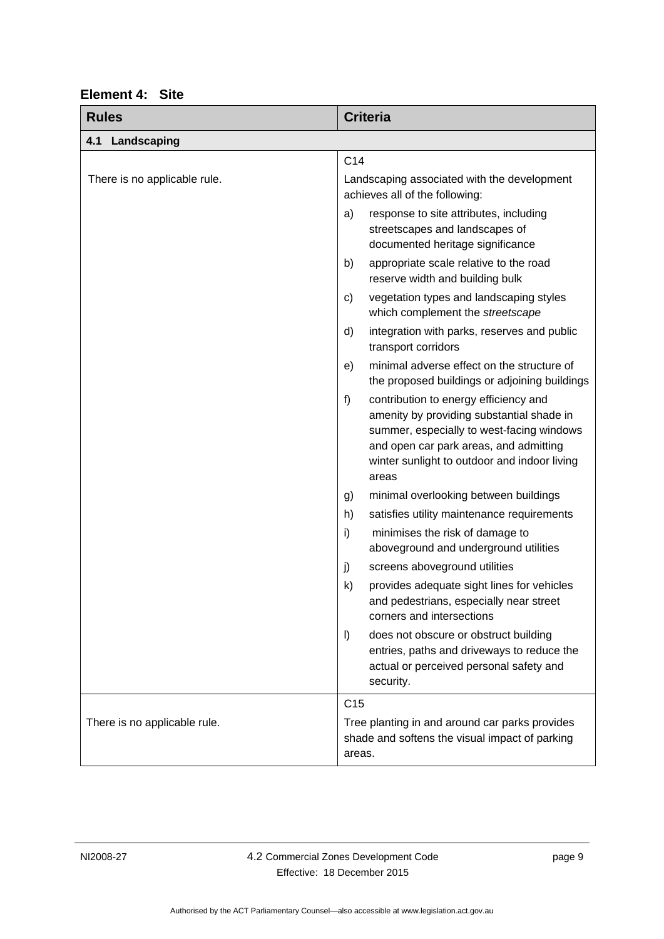<span id="page-14-1"></span><span id="page-14-0"></span>

| <b>Rules</b>                 | <b>Criteria</b>                                                                                                                                                                                                                          |
|------------------------------|------------------------------------------------------------------------------------------------------------------------------------------------------------------------------------------------------------------------------------------|
| 4.1<br>Landscaping           |                                                                                                                                                                                                                                          |
|                              | C <sub>14</sub>                                                                                                                                                                                                                          |
| There is no applicable rule. | Landscaping associated with the development<br>achieves all of the following:                                                                                                                                                            |
|                              | response to site attributes, including<br>a)<br>streetscapes and landscapes of<br>documented heritage significance                                                                                                                       |
|                              | appropriate scale relative to the road<br>b)<br>reserve width and building bulk                                                                                                                                                          |
|                              | vegetation types and landscaping styles<br>C)<br>which complement the streetscape                                                                                                                                                        |
|                              | d)<br>integration with parks, reserves and public<br>transport corridors                                                                                                                                                                 |
|                              | minimal adverse effect on the structure of<br>e)<br>the proposed buildings or adjoining buildings                                                                                                                                        |
|                              | f)<br>contribution to energy efficiency and<br>amenity by providing substantial shade in<br>summer, especially to west-facing windows<br>and open car park areas, and admitting<br>winter sunlight to outdoor and indoor living<br>areas |
|                              | minimal overlooking between buildings<br>g)                                                                                                                                                                                              |
|                              | satisfies utility maintenance requirements<br>h)                                                                                                                                                                                         |
|                              | i)<br>minimises the risk of damage to<br>aboveground and underground utilities                                                                                                                                                           |
|                              | j)<br>screens aboveground utilities                                                                                                                                                                                                      |
|                              | $\mathsf{k}$<br>provides adequate sight lines for vehicles<br>and pedestrians, especially near street<br>corners and intersections                                                                                                       |
|                              | $\vert$<br>does not obscure or obstruct building<br>entries, paths and driveways to reduce the<br>actual or perceived personal safety and<br>security.                                                                                   |
|                              | C <sub>15</sub>                                                                                                                                                                                                                          |
| There is no applicable rule. | Tree planting in and around car parks provides<br>shade and softens the visual impact of parking<br>areas.                                                                                                                               |

# **Element 4: Site**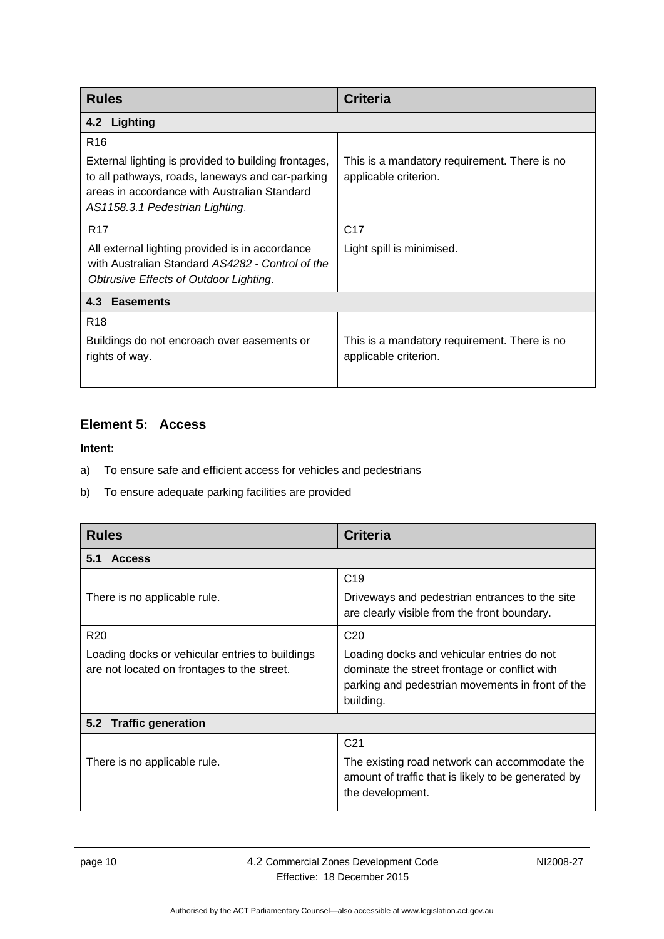<span id="page-15-0"></span>

| <b>Rules</b>                                                                                                                                                                                                   | <b>Criteria</b>                                                       |  |
|----------------------------------------------------------------------------------------------------------------------------------------------------------------------------------------------------------------|-----------------------------------------------------------------------|--|
| 4.2 Lighting                                                                                                                                                                                                   |                                                                       |  |
| R <sub>16</sub><br>External lighting is provided to building frontages,<br>to all pathways, roads, laneways and car-parking<br>areas in accordance with Australian Standard<br>AS1158.3.1 Pedestrian Lighting. | This is a mandatory requirement. There is no<br>applicable criterion. |  |
| R <sub>17</sub><br>All external lighting provided is in accordance<br>with Australian Standard AS4282 - Control of the<br>Obtrusive Effects of Outdoor Lighting.                                               | C <sub>17</sub><br>Light spill is minimised.                          |  |
| 4.3 Easements                                                                                                                                                                                                  |                                                                       |  |
| R <sub>18</sub><br>Buildings do not encroach over easements or<br>rights of way.                                                                                                                               | This is a mandatory requirement. There is no<br>applicable criterion. |  |

### <span id="page-15-2"></span><span id="page-15-1"></span>**Element 5: Access**

- a) To ensure safe and efficient access for vehicles and pedestrians
- b) To ensure adequate parking facilities are provided

<span id="page-15-4"></span><span id="page-15-3"></span>

| <b>Rules</b>                                                                                                      | <b>Criteria</b>                                                                                                                                                                 |  |
|-------------------------------------------------------------------------------------------------------------------|---------------------------------------------------------------------------------------------------------------------------------------------------------------------------------|--|
| <b>Access</b><br>5.1                                                                                              |                                                                                                                                                                                 |  |
| There is no applicable rule.                                                                                      | C <sub>19</sub><br>Driveways and pedestrian entrances to the site<br>are clearly visible from the front boundary.                                                               |  |
| R <sub>20</sub><br>Loading docks or vehicular entries to buildings<br>are not located on frontages to the street. | C <sub>20</sub><br>Loading docks and vehicular entries do not<br>dominate the street frontage or conflict with<br>parking and pedestrian movements in front of the<br>building. |  |
| <b>Traffic generation</b><br>5.2                                                                                  |                                                                                                                                                                                 |  |
| There is no applicable rule.                                                                                      | C <sub>21</sub><br>The existing road network can accommodate the<br>amount of traffic that is likely to be generated by<br>the development.                                     |  |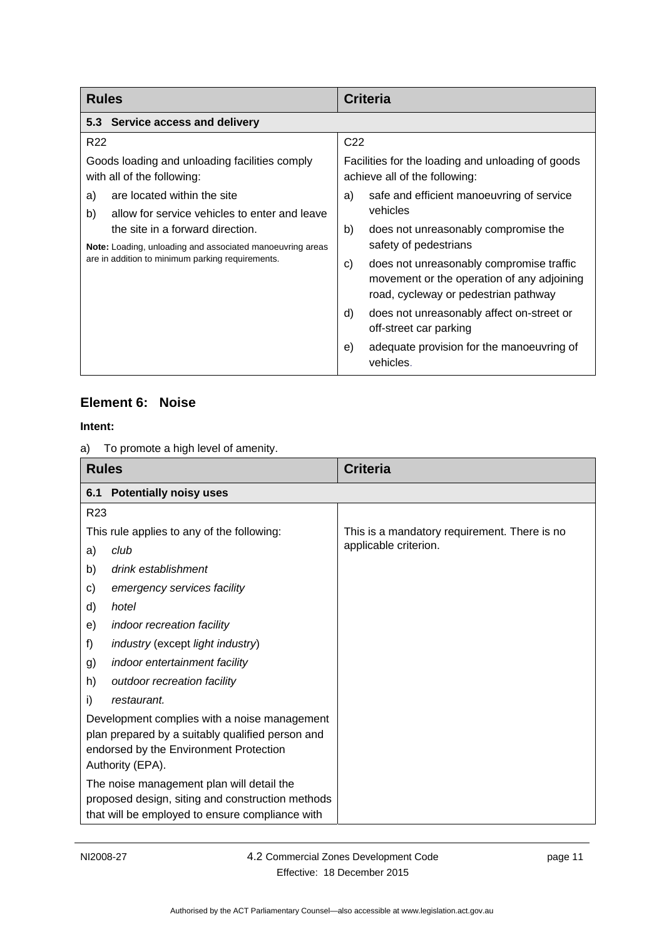<span id="page-16-0"></span>

| <b>Rules</b>                                                                                  | <b>Criteria</b>                                                                    |
|-----------------------------------------------------------------------------------------------|------------------------------------------------------------------------------------|
| 5.3 Service access and delivery                                                               |                                                                                    |
| R <sub>22</sub>                                                                               | C <sub>22</sub>                                                                    |
| Goods loading and unloading facilities comply<br>with all of the following:                   | Facilities for the loading and unloading of goods<br>achieve all of the following: |
| are located within the site<br>a)                                                             | safe and efficient manoeuvring of service<br>a)                                    |
| allow for service vehicles to enter and leave<br>b)                                           | vehicles                                                                           |
| the site in a forward direction.<br>Note: Loading, unloading and associated manoeuvring areas | b)<br>does not unreasonably compromise the                                         |
|                                                                                               | safety of pedestrians                                                              |
| are in addition to minimum parking requirements.                                              | does not unreasonably compromise traffic<br>C)                                     |
|                                                                                               | movement or the operation of any adjoining<br>road, cycleway or pedestrian pathway |
|                                                                                               | does not unreasonably affect on-street or<br>d)<br>off-street car parking          |
|                                                                                               |                                                                                    |
|                                                                                               | adequate provision for the manoeuvring of<br>e)<br>vehicles.                       |

### <span id="page-16-1"></span>**Element 6: Noise**

a) To promote a high level of amenity.

<span id="page-16-2"></span>

| <b>Rules</b>    |                                                                                                                                                                | <b>Criteria</b>                              |
|-----------------|----------------------------------------------------------------------------------------------------------------------------------------------------------------|----------------------------------------------|
| 6.1             | <b>Potentially noisy uses</b>                                                                                                                                  |                                              |
| R <sub>23</sub> |                                                                                                                                                                |                                              |
|                 | This rule applies to any of the following:                                                                                                                     | This is a mandatory requirement. There is no |
| a)              | club                                                                                                                                                           | applicable criterion.                        |
| b)              | drink establishment                                                                                                                                            |                                              |
| c)              | emergency services facility                                                                                                                                    |                                              |
| d)              | hotel                                                                                                                                                          |                                              |
| e)              | indoor recreation facility                                                                                                                                     |                                              |
| f)              | industry (except light industry)                                                                                                                               |                                              |
| g)              | indoor entertainment facility                                                                                                                                  |                                              |
| h)              | outdoor recreation facility                                                                                                                                    |                                              |
| i)              | restaurant.                                                                                                                                                    |                                              |
|                 | Development complies with a noise management<br>plan prepared by a suitably qualified person and<br>endorsed by the Environment Protection<br>Authority (EPA). |                                              |
|                 | The noise management plan will detail the<br>proposed design, siting and construction methods<br>that will be employed to ensure compliance with               |                                              |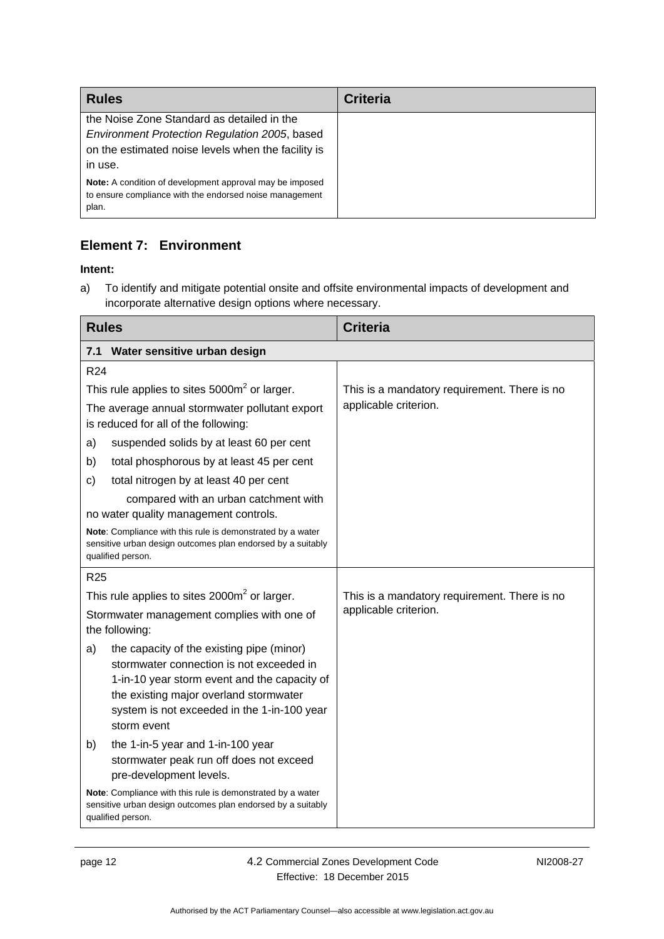| <b>Rules</b>                                                                                                                                                 | <b>Criteria</b> |
|--------------------------------------------------------------------------------------------------------------------------------------------------------------|-----------------|
| the Noise Zone Standard as detailed in the<br>Environment Protection Regulation 2005, based<br>on the estimated noise levels when the facility is<br>in use. |                 |
| <b>Note:</b> A condition of development approval may be imposed<br>to ensure compliance with the endorsed noise management<br>plan.                          |                 |

# <span id="page-17-0"></span>**Element 7: Environment**

#### **Intent:**

a) To identify and mitigate potential onsite and offsite environmental impacts of development and incorporate alternative design options where necessary.

<span id="page-17-1"></span>

| <b>Rules</b>                                                                                                                                                                                                                                        | <b>Criteria</b>                              |
|-----------------------------------------------------------------------------------------------------------------------------------------------------------------------------------------------------------------------------------------------------|----------------------------------------------|
| Water sensitive urban design<br>7.1                                                                                                                                                                                                                 |                                              |
| R <sub>24</sub>                                                                                                                                                                                                                                     |                                              |
| This rule applies to sites $5000m2$ or larger.                                                                                                                                                                                                      | This is a mandatory requirement. There is no |
| The average annual stormwater pollutant export<br>is reduced for all of the following:                                                                                                                                                              | applicable criterion.                        |
| suspended solids by at least 60 per cent<br>a)                                                                                                                                                                                                      |                                              |
| total phosphorous by at least 45 per cent<br>b)                                                                                                                                                                                                     |                                              |
| total nitrogen by at least 40 per cent<br>c)                                                                                                                                                                                                        |                                              |
| compared with an urban catchment with<br>no water quality management controls.                                                                                                                                                                      |                                              |
| Note: Compliance with this rule is demonstrated by a water<br>sensitive urban design outcomes plan endorsed by a suitably<br>qualified person.                                                                                                      |                                              |
| R <sub>25</sub>                                                                                                                                                                                                                                     |                                              |
| This rule applies to sites $2000m^2$ or larger.                                                                                                                                                                                                     | This is a mandatory requirement. There is no |
| Stormwater management complies with one of<br>the following:                                                                                                                                                                                        | applicable criterion.                        |
| the capacity of the existing pipe (minor)<br>a)<br>stormwater connection is not exceeded in<br>1-in-10 year storm event and the capacity of<br>the existing major overland stormwater<br>system is not exceeded in the 1-in-100 year<br>storm event |                                              |
| the 1-in-5 year and 1-in-100 year<br>b)<br>stormwater peak run off does not exceed<br>pre-development levels.                                                                                                                                       |                                              |
| Note: Compliance with this rule is demonstrated by a water<br>sensitive urban design outcomes plan endorsed by a suitably<br>qualified person.                                                                                                      |                                              |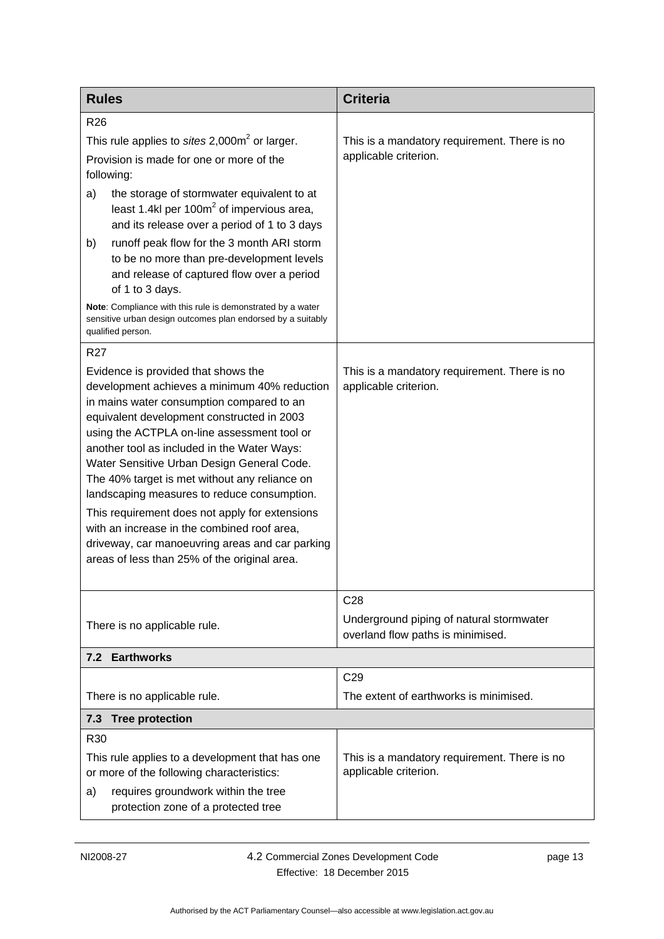<span id="page-18-1"></span><span id="page-18-0"></span>

| <b>Rules</b>                                                                                                                                                                                                                                                                                                                                                                                                                                                                                                                                                                                                                   | <b>Criteria</b>                                                               |
|--------------------------------------------------------------------------------------------------------------------------------------------------------------------------------------------------------------------------------------------------------------------------------------------------------------------------------------------------------------------------------------------------------------------------------------------------------------------------------------------------------------------------------------------------------------------------------------------------------------------------------|-------------------------------------------------------------------------------|
| R <sub>26</sub>                                                                                                                                                                                                                                                                                                                                                                                                                                                                                                                                                                                                                |                                                                               |
| This rule applies to sites $2,000m^2$ or larger.                                                                                                                                                                                                                                                                                                                                                                                                                                                                                                                                                                               | This is a mandatory requirement. There is no                                  |
| Provision is made for one or more of the<br>following:                                                                                                                                                                                                                                                                                                                                                                                                                                                                                                                                                                         | applicable criterion.                                                         |
| the storage of stormwater equivalent to at<br>a)<br>least 1.4kl per 100 $m2$ of impervious area,<br>and its release over a period of 1 to 3 days                                                                                                                                                                                                                                                                                                                                                                                                                                                                               |                                                                               |
| runoff peak flow for the 3 month ARI storm<br>b)<br>to be no more than pre-development levels<br>and release of captured flow over a period<br>of 1 to 3 days.                                                                                                                                                                                                                                                                                                                                                                                                                                                                 |                                                                               |
| Note: Compliance with this rule is demonstrated by a water<br>sensitive urban design outcomes plan endorsed by a suitably<br>qualified person.                                                                                                                                                                                                                                                                                                                                                                                                                                                                                 |                                                                               |
| R <sub>27</sub>                                                                                                                                                                                                                                                                                                                                                                                                                                                                                                                                                                                                                |                                                                               |
| Evidence is provided that shows the<br>development achieves a minimum 40% reduction<br>in mains water consumption compared to an<br>equivalent development constructed in 2003<br>using the ACTPLA on-line assessment tool or<br>another tool as included in the Water Ways:<br>Water Sensitive Urban Design General Code.<br>The 40% target is met without any reliance on<br>landscaping measures to reduce consumption.<br>This requirement does not apply for extensions<br>with an increase in the combined roof area,<br>driveway, car manoeuvring areas and car parking<br>areas of less than 25% of the original area. | This is a mandatory requirement. There is no<br>applicable criterion.         |
|                                                                                                                                                                                                                                                                                                                                                                                                                                                                                                                                                                                                                                | C <sub>28</sub>                                                               |
| There is no applicable rule.                                                                                                                                                                                                                                                                                                                                                                                                                                                                                                                                                                                                   | Underground piping of natural stormwater<br>overland flow paths is minimised. |
| <b>Earthworks</b><br>7.2                                                                                                                                                                                                                                                                                                                                                                                                                                                                                                                                                                                                       |                                                                               |
|                                                                                                                                                                                                                                                                                                                                                                                                                                                                                                                                                                                                                                | C <sub>29</sub>                                                               |
| There is no applicable rule.                                                                                                                                                                                                                                                                                                                                                                                                                                                                                                                                                                                                   | The extent of earthworks is minimised.                                        |
| 7.3 Tree protection                                                                                                                                                                                                                                                                                                                                                                                                                                                                                                                                                                                                            |                                                                               |
| R30<br>This rule applies to a development that has one<br>or more of the following characteristics:<br>requires groundwork within the tree<br>a)<br>protection zone of a protected tree                                                                                                                                                                                                                                                                                                                                                                                                                                        | This is a mandatory requirement. There is no<br>applicable criterion.         |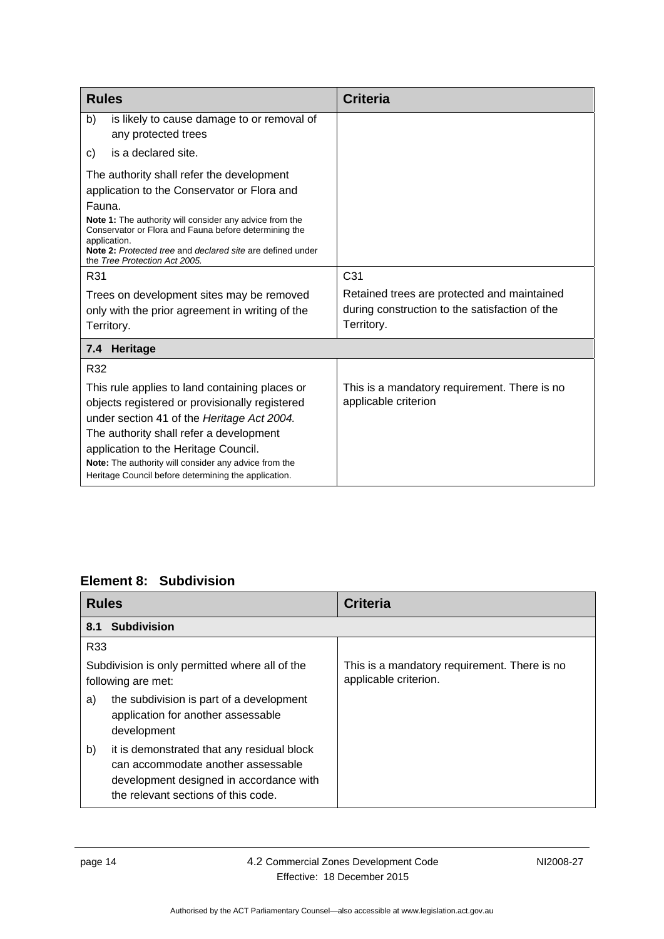| <b>Rules</b>                                                                                                                                                                                                                                                                                                                                              | <b>Criteria</b>                                                                                             |
|-----------------------------------------------------------------------------------------------------------------------------------------------------------------------------------------------------------------------------------------------------------------------------------------------------------------------------------------------------------|-------------------------------------------------------------------------------------------------------------|
| b)<br>is likely to cause damage to or removal of<br>any protected trees                                                                                                                                                                                                                                                                                   |                                                                                                             |
| is a declared site.<br>C)                                                                                                                                                                                                                                                                                                                                 |                                                                                                             |
| The authority shall refer the development<br>application to the Conservator or Flora and<br>Fauna.<br>Note 1: The authority will consider any advice from the<br>Conservator or Flora and Fauna before determining the<br>application.<br>Note 2: Protected tree and declared site are defined under<br>the Tree Protection Act 2005.                     |                                                                                                             |
| R31                                                                                                                                                                                                                                                                                                                                                       | C <sub>31</sub>                                                                                             |
| Trees on development sites may be removed<br>only with the prior agreement in writing of the<br>Territory.                                                                                                                                                                                                                                                | Retained trees are protected and maintained<br>during construction to the satisfaction of the<br>Territory. |
| Heritage<br>7.4                                                                                                                                                                                                                                                                                                                                           |                                                                                                             |
| R32<br>This rule applies to land containing places or<br>objects registered or provisionally registered<br>under section 41 of the Heritage Act 2004.<br>The authority shall refer a development<br>application to the Heritage Council.<br>Note: The authority will consider any advice from the<br>Heritage Council before determining the application. | This is a mandatory requirement. There is no<br>applicable criterion                                        |

# <span id="page-19-0"></span>**Element 8: Subdivision**

<span id="page-19-2"></span><span id="page-19-1"></span>

| <b>Rules</b>                                                                                                                                                             | <b>Criteria</b>                                                       |
|--------------------------------------------------------------------------------------------------------------------------------------------------------------------------|-----------------------------------------------------------------------|
| <b>Subdivision</b><br>8.1                                                                                                                                                |                                                                       |
| R33                                                                                                                                                                      |                                                                       |
| Subdivision is only permitted where all of the<br>following are met:                                                                                                     | This is a mandatory requirement. There is no<br>applicable criterion. |
| the subdivision is part of a development<br>a)<br>application for another assessable<br>development                                                                      |                                                                       |
| b)<br>it is demonstrated that any residual block<br>can accommodate another assessable<br>development designed in accordance with<br>the relevant sections of this code. |                                                                       |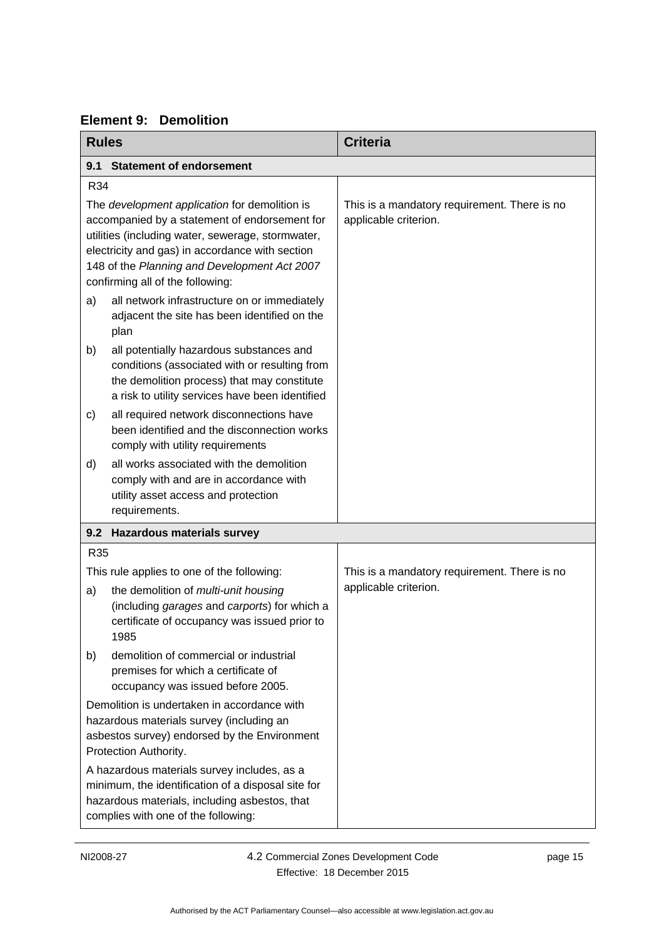# **Element 9: Demolition**

<span id="page-20-2"></span><span id="page-20-1"></span><span id="page-20-0"></span>

| <b>Rules</b> |                                                                                                                                                                                                                                                                                            | <b>Criteria</b>                                                       |
|--------------|--------------------------------------------------------------------------------------------------------------------------------------------------------------------------------------------------------------------------------------------------------------------------------------------|-----------------------------------------------------------------------|
| 9.1          | <b>Statement of endorsement</b>                                                                                                                                                                                                                                                            |                                                                       |
| R34          |                                                                                                                                                                                                                                                                                            |                                                                       |
|              | The development application for demolition is<br>accompanied by a statement of endorsement for<br>utilities (including water, sewerage, stormwater,<br>electricity and gas) in accordance with section<br>148 of the Planning and Development Act 2007<br>confirming all of the following: | This is a mandatory requirement. There is no<br>applicable criterion. |
| a)           | all network infrastructure on or immediately<br>adjacent the site has been identified on the<br>plan                                                                                                                                                                                       |                                                                       |
| b)           | all potentially hazardous substances and<br>conditions (associated with or resulting from<br>the demolition process) that may constitute<br>a risk to utility services have been identified                                                                                                |                                                                       |
| c)           | all required network disconnections have<br>been identified and the disconnection works<br>comply with utility requirements                                                                                                                                                                |                                                                       |
| d)           | all works associated with the demolition<br>comply with and are in accordance with<br>utility asset access and protection<br>requirements.                                                                                                                                                 |                                                                       |
| 9.2          | <b>Hazardous materials survey</b>                                                                                                                                                                                                                                                          |                                                                       |
| R35          |                                                                                                                                                                                                                                                                                            |                                                                       |
|              | This rule applies to one of the following:                                                                                                                                                                                                                                                 | This is a mandatory requirement. There is no                          |
| a)           | the demolition of multi-unit housing<br>(including garages and carports) for which a<br>certificate of occupancy was issued prior to<br>1985                                                                                                                                               | applicable criterion.                                                 |
| b)           | demolition of commercial or industrial<br>premises for which a certificate of<br>occupancy was issued before 2005.                                                                                                                                                                         |                                                                       |
|              | Demolition is undertaken in accordance with<br>hazardous materials survey (including an<br>asbestos survey) endorsed by the Environment<br>Protection Authority.                                                                                                                           |                                                                       |
|              | A hazardous materials survey includes, as a<br>minimum, the identification of a disposal site for<br>hazardous materials, including asbestos, that<br>complies with one of the following:                                                                                                  |                                                                       |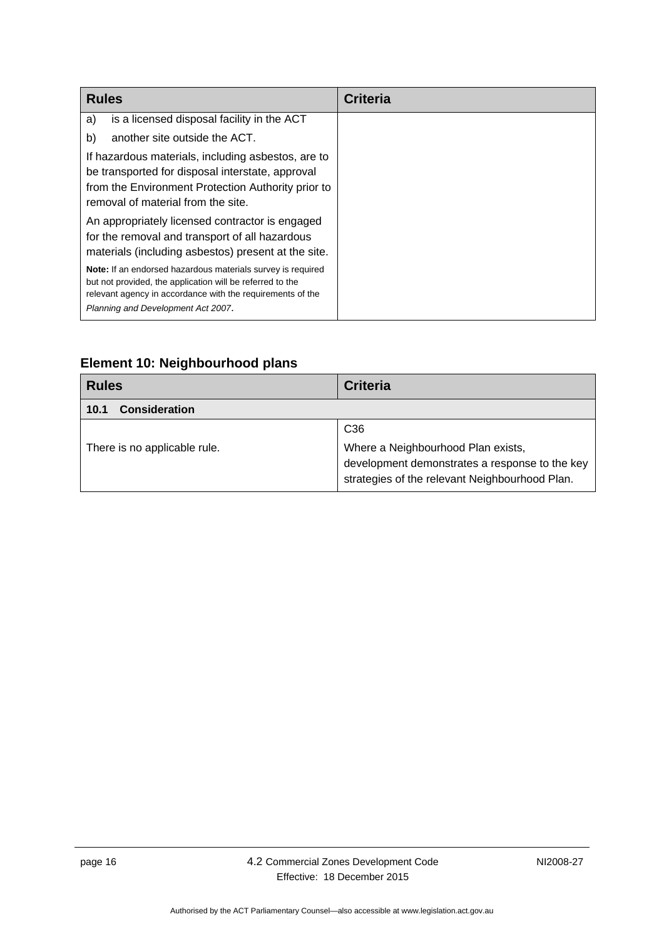| <b>Rules</b>                                                                                                                                                                                                                 | <b>Criteria</b> |
|------------------------------------------------------------------------------------------------------------------------------------------------------------------------------------------------------------------------------|-----------------|
| is a licensed disposal facility in the ACT<br>a)                                                                                                                                                                             |                 |
| another site outside the ACT.<br>b)                                                                                                                                                                                          |                 |
| If hazardous materials, including asbestos, are to<br>be transported for disposal interstate, approval<br>from the Environment Protection Authority prior to<br>removal of material from the site.                           |                 |
| An appropriately licensed contractor is engaged<br>for the removal and transport of all hazardous<br>materials (including asbestos) present at the site.                                                                     |                 |
| Note: If an endorsed hazardous materials survey is required<br>but not provided, the application will be referred to the<br>relevant agency in accordance with the requirements of the<br>Planning and Development Act 2007. |                 |

**Element 10: Neighbourhood plans** 

<span id="page-21-1"></span><span id="page-21-0"></span>

| <b>Rules</b>                 | <b>Criteria</b>                                                                                  |
|------------------------------|--------------------------------------------------------------------------------------------------|
| <b>Consideration</b><br>10.1 |                                                                                                  |
| There is no applicable rule. | C <sub>36</sub><br>Where a Neighbourhood Plan exists,                                            |
|                              | development demonstrates a response to the key<br>strategies of the relevant Neighbourhood Plan. |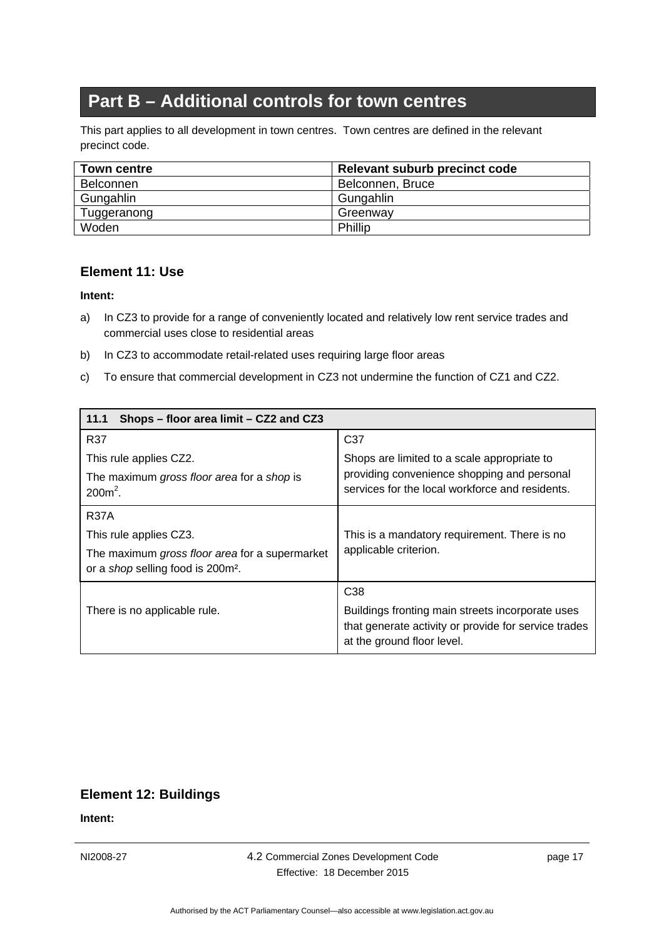# **Part B – Additional controls for town centres**

<span id="page-22-0"></span>This part applies to all development in town centres. Town centres are defined in the relevant precinct code.

| <b>Town centre</b> | Relevant suburb precinct code |
|--------------------|-------------------------------|
| <b>Belconnen</b>   | Belconnen, Bruce              |
| Gungahlin          | Gungahlin                     |
| Tuggeranong        | Greenway                      |
| Woden              | Phillip                       |

### <span id="page-22-1"></span>**Element 11: Use**

#### **Intent:**

- a) In CZ3 to provide for a range of conveniently located and relatively low rent service trades and commercial uses close to residential areas
- b) In CZ3 to accommodate retail-related uses requiring large floor areas
- c) To ensure that commercial development in CZ3 not undermine the function of CZ1 and CZ2.

<span id="page-22-2"></span>

| Shops - floor area limit - CZ2 and CZ3<br>11.1                                                  |                                                                                                                                        |
|-------------------------------------------------------------------------------------------------|----------------------------------------------------------------------------------------------------------------------------------------|
| <b>R37</b>                                                                                      | C <sub>37</sub>                                                                                                                        |
| This rule applies CZ2.                                                                          | Shops are limited to a scale appropriate to                                                                                            |
| The maximum gross floor area for a shop is<br>$200m^2$ .                                        | providing convenience shopping and personal<br>services for the local workforce and residents.                                         |
| <b>R37A</b>                                                                                     |                                                                                                                                        |
| This rule applies CZ3.                                                                          | This is a mandatory requirement. There is no                                                                                           |
| The maximum gross floor area for a supermarket<br>or a shop selling food is 200m <sup>2</sup> . | applicable criterion.                                                                                                                  |
|                                                                                                 | C <sub>38</sub>                                                                                                                        |
| There is no applicable rule.                                                                    | Buildings fronting main streets incorporate uses<br>that generate activity or provide for service trades<br>at the ground floor level. |

### **Element 12: Buildings**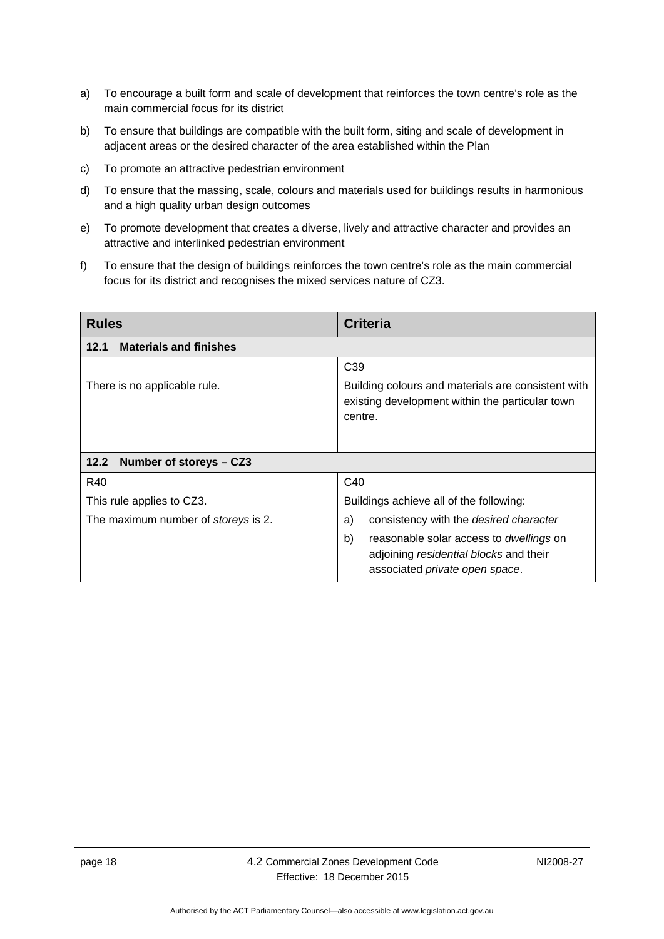- <span id="page-23-0"></span>a) To encourage a built form and scale of development that reinforces the town centre's role as the main commercial focus for its district
- b) To ensure that buildings are compatible with the built form, siting and scale of development in adjacent areas or the desired character of the area established within the Plan
- c) To promote an attractive pedestrian environment
- d) To ensure that the massing, scale, colours and materials used for buildings results in harmonious and a high quality urban design outcomes
- e) To promote development that creates a diverse, lively and attractive character and provides an attractive and interlinked pedestrian environment
- f) To ensure that the design of buildings reinforces the town centre's role as the main commercial focus for its district and recognises the mixed services nature of CZ3.

<span id="page-23-2"></span><span id="page-23-1"></span>

| <b>Rules</b>                               | <b>Criteria</b>                                                                                                                         |
|--------------------------------------------|-----------------------------------------------------------------------------------------------------------------------------------------|
| <b>Materials and finishes</b><br>12.1      |                                                                                                                                         |
|                                            | C <sub>39</sub>                                                                                                                         |
| There is no applicable rule.               | Building colours and materials are consistent with<br>existing development within the particular town<br>centre.                        |
|                                            |                                                                                                                                         |
| Number of storeys - CZ3<br>12.2            |                                                                                                                                         |
| R40                                        | C <sub>40</sub>                                                                                                                         |
| This rule applies to CZ3.                  | Buildings achieve all of the following:                                                                                                 |
| The maximum number of <i>storeys</i> is 2. | consistency with the <i>desired character</i><br>a)                                                                                     |
|                                            | b)<br>reasonable solar access to <i>dwellings</i> on<br>adjoining residential blocks and their<br>associated <i>private</i> open space. |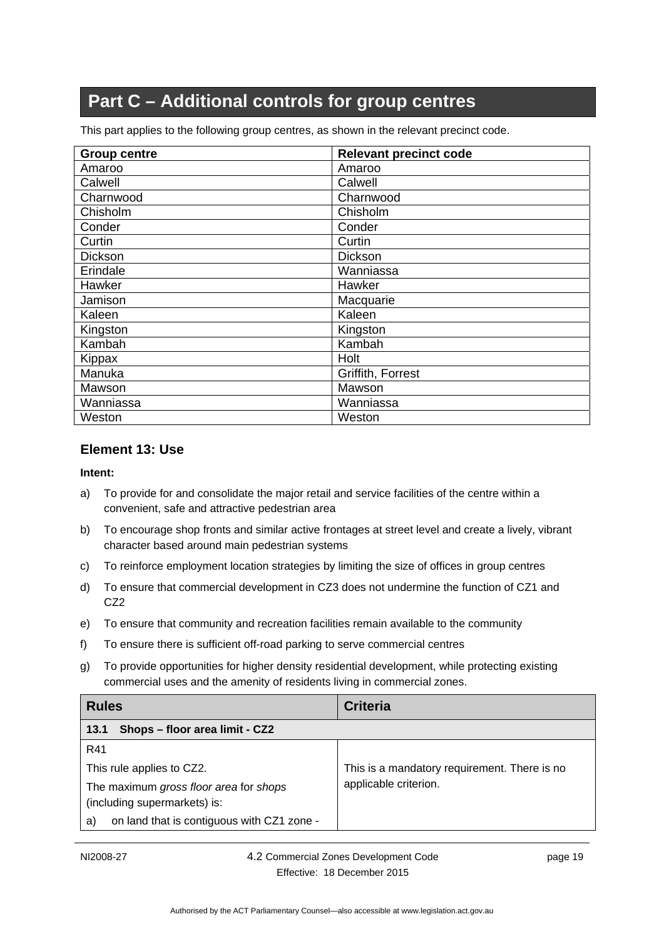# **Part C – Additional controls for group centres**

<span id="page-24-0"></span>This part applies to the following group centres, as shown in the relevant precinct code.

| <b>Group centre</b> | <b>Relevant precinct code</b> |
|---------------------|-------------------------------|
| Amaroo              | Amaroo                        |
| Calwell             | Calwell                       |
| Charnwood           | Charnwood                     |
| Chisholm            | Chisholm                      |
| Conder              | Conder                        |
| Curtin              | Curtin                        |
| <b>Dickson</b>      | <b>Dickson</b>                |
| Erindale            | Wanniassa                     |
| Hawker              | Hawker                        |
| Jamison             | Macquarie                     |
| Kaleen              | Kaleen                        |
| Kingston            | Kingston                      |
| Kambah              | Kambah                        |
| Kippax              | Holt                          |
| Manuka              | Griffith, Forrest             |
| Mawson              | Mawson                        |
| Wanniassa           | Wanniassa                     |
| Weston              | Weston                        |

#### <span id="page-24-1"></span>**Element 13: Use**

- a) To provide for and consolidate the major retail and service facilities of the centre within a convenient, safe and attractive pedestrian area
- b) To encourage shop fronts and similar active frontages at street level and create a lively, vibrant character based around main pedestrian systems
- c) To reinforce employment location strategies by limiting the size of offices in group centres
- d) To ensure that commercial development in CZ3 does not undermine the function of CZ1 and CZ2
- e) To ensure that community and recreation facilities remain available to the community
- f) To ensure there is sufficient off-road parking to serve commercial centres
- g) To provide opportunities for higher density residential development, while protecting existing commercial uses and the amenity of residents living in commercial zones.

<span id="page-24-2"></span>

| <b>Rules</b>                                                           | <b>Criteria</b>                              |
|------------------------------------------------------------------------|----------------------------------------------|
| Shops - floor area limit - CZ2<br>13.1                                 |                                              |
| R41                                                                    |                                              |
| This rule applies to CZ2.                                              | This is a mandatory requirement. There is no |
| The maximum gross floor area for shops<br>(including supermarkets) is: | applicable criterion.                        |
| on land that is contiguous with CZ1 zone -<br>a)                       |                                              |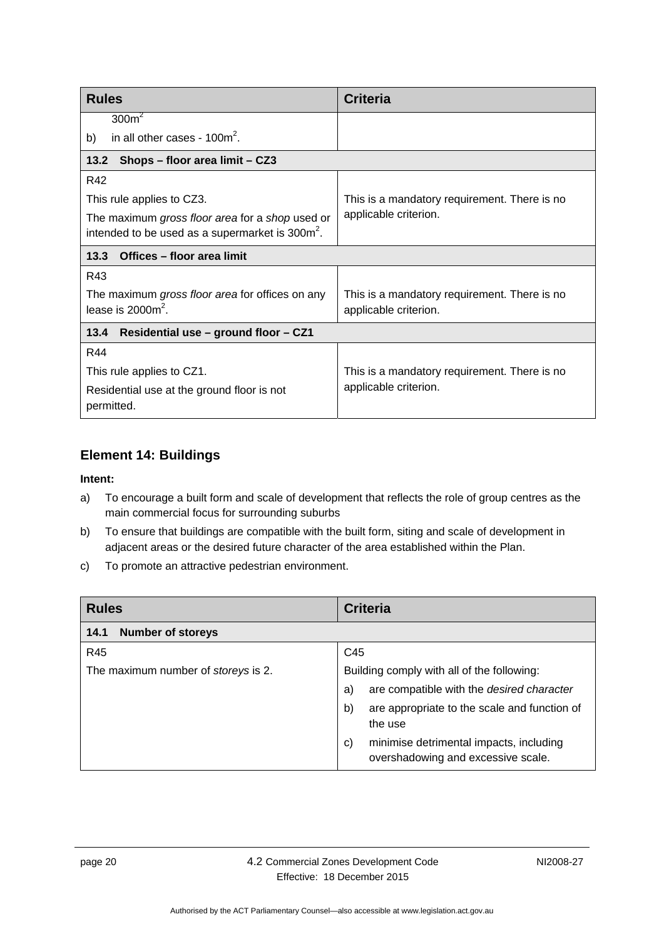<span id="page-25-1"></span><span id="page-25-0"></span>

| <b>Rules</b>                                                | <b>Criteria</b>                              |  |
|-------------------------------------------------------------|----------------------------------------------|--|
| 300m <sup>2</sup>                                           |                                              |  |
| in all other cases - $100m^2$ .<br>b)                       |                                              |  |
| 13.2<br>Shops - floor area limit - CZ3                      |                                              |  |
| R42                                                         |                                              |  |
| This rule applies to CZ3.                                   | This is a mandatory requirement. There is no |  |
| The maximum gross floor area for a shop used or             | applicable criterion.                        |  |
| intended to be used as a supermarket is 300m <sup>2</sup> . |                                              |  |
| Offices - floor area limit<br>13.3                          |                                              |  |
| R43                                                         |                                              |  |
| The maximum gross floor area for offices on any             | This is a mandatory requirement. There is no |  |
| lease is $20002$ .                                          | applicable criterion.                        |  |
| 13.4<br>Residential use - ground floor - CZ1                |                                              |  |
| R44                                                         |                                              |  |
| This rule applies to CZ1.                                   | This is a mandatory requirement. There is no |  |
| Residential use at the ground floor is not<br>permitted.    | applicable criterion.                        |  |

### <span id="page-25-3"></span><span id="page-25-2"></span>**Element 14: Buildings**

- a) To encourage a built form and scale of development that reflects the role of group centres as the main commercial focus for surrounding suburbs
- b) To ensure that buildings are compatible with the built form, siting and scale of development in adjacent areas or the desired future character of the area established within the Plan.
- c) To promote an attractive pedestrian environment.

<span id="page-25-4"></span>

| <b>Rules</b>                        | <b>Criteria</b>                                                                     |
|-------------------------------------|-------------------------------------------------------------------------------------|
| <b>Number of storeys</b><br>14.1    |                                                                                     |
| R45                                 | C45                                                                                 |
| The maximum number of storeys is 2. | Building comply with all of the following:                                          |
|                                     | are compatible with the desired character<br>a)                                     |
|                                     | are appropriate to the scale and function of<br>b)<br>the use                       |
|                                     | minimise detrimental impacts, including<br>C)<br>overshadowing and excessive scale. |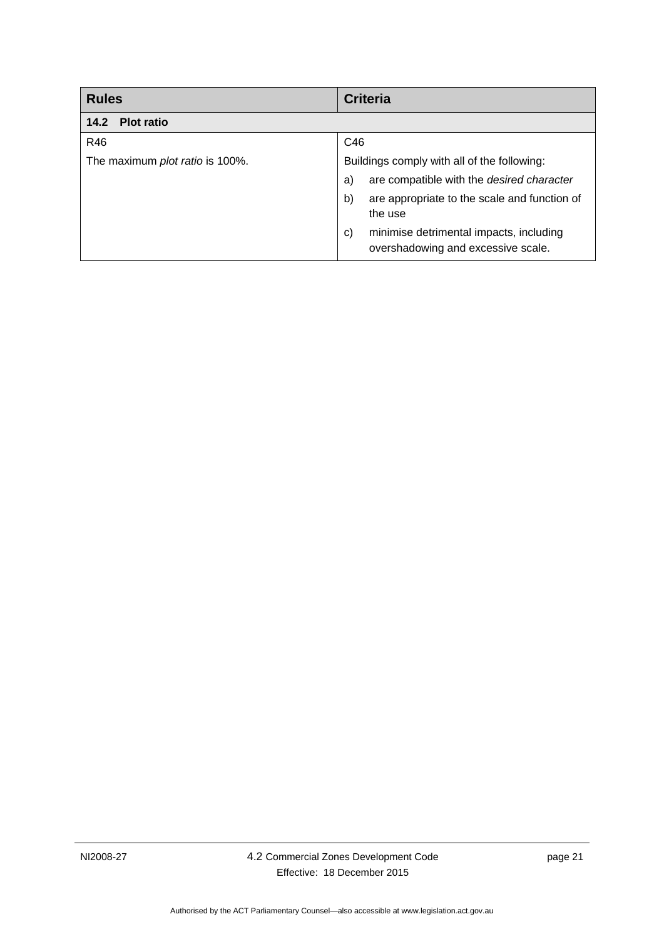<span id="page-26-0"></span>

| <b>Rules</b>                    | <b>Criteria</b>                                                                     |
|---------------------------------|-------------------------------------------------------------------------------------|
| <b>Plot ratio</b><br>14.2       |                                                                                     |
| R46                             | C46                                                                                 |
| The maximum plot ratio is 100%. | Buildings comply with all of the following:                                         |
|                                 | are compatible with the desired character<br>a)                                     |
|                                 | are appropriate to the scale and function of<br>b)<br>the use                       |
|                                 | minimise detrimental impacts, including<br>C)<br>overshadowing and excessive scale. |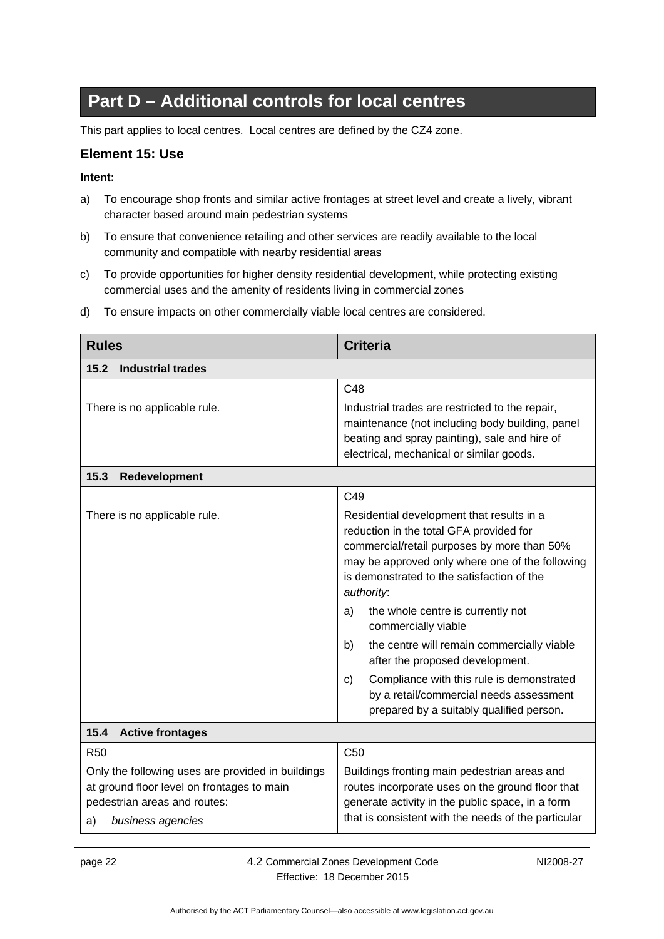# **Part D – Additional controls for local centres**

<span id="page-27-0"></span>This part applies to local centres. Local centres are defined by the CZ4 zone.

#### <span id="page-27-1"></span>**Element 15: Use**

#### **Intent:**

- a) To encourage shop fronts and similar active frontages at street level and create a lively, vibrant character based around main pedestrian systems
- b) To ensure that convenience retailing and other services are readily available to the local community and compatible with nearby residential areas
- c) To provide opportunities for higher density residential development, while protecting existing commercial uses and the amenity of residents living in commercial zones

<span id="page-27-3"></span><span id="page-27-2"></span>

| <b>Rules</b>                                                                                                                                               | <b>Criteria</b>                                                                                                                                                                                                                                                                                                                                                                                                                                                                                                                                       |
|------------------------------------------------------------------------------------------------------------------------------------------------------------|-------------------------------------------------------------------------------------------------------------------------------------------------------------------------------------------------------------------------------------------------------------------------------------------------------------------------------------------------------------------------------------------------------------------------------------------------------------------------------------------------------------------------------------------------------|
| 15.2<br><b>Industrial trades</b>                                                                                                                           |                                                                                                                                                                                                                                                                                                                                                                                                                                                                                                                                                       |
|                                                                                                                                                            | C48                                                                                                                                                                                                                                                                                                                                                                                                                                                                                                                                                   |
| There is no applicable rule.                                                                                                                               | Industrial trades are restricted to the repair,<br>maintenance (not including body building, panel                                                                                                                                                                                                                                                                                                                                                                                                                                                    |
|                                                                                                                                                            | beating and spray painting), sale and hire of<br>electrical, mechanical or similar goods.                                                                                                                                                                                                                                                                                                                                                                                                                                                             |
| 15.3<br>Redevelopment                                                                                                                                      |                                                                                                                                                                                                                                                                                                                                                                                                                                                                                                                                                       |
|                                                                                                                                                            | C49                                                                                                                                                                                                                                                                                                                                                                                                                                                                                                                                                   |
| There is no applicable rule.                                                                                                                               | Residential development that results in a<br>reduction in the total GFA provided for<br>commercial/retail purposes by more than 50%<br>may be approved only where one of the following<br>is demonstrated to the satisfaction of the<br>authority:<br>the whole centre is currently not<br>a)<br>commercially viable<br>the centre will remain commercially viable<br>b)<br>after the proposed development.<br>Compliance with this rule is demonstrated<br>C)<br>by a retail/commercial needs assessment<br>prepared by a suitably qualified person. |
| 15.4<br><b>Active frontages</b>                                                                                                                            |                                                                                                                                                                                                                                                                                                                                                                                                                                                                                                                                                       |
| <b>R50</b>                                                                                                                                                 | C <sub>50</sub>                                                                                                                                                                                                                                                                                                                                                                                                                                                                                                                                       |
| Only the following uses are provided in buildings<br>at ground floor level on frontages to main<br>pedestrian areas and routes:<br>business agencies<br>a) | Buildings fronting main pedestrian areas and<br>routes incorporate uses on the ground floor that<br>generate activity in the public space, in a form<br>that is consistent with the needs of the particular                                                                                                                                                                                                                                                                                                                                           |

d) To ensure impacts on other commercially viable local centres are considered.

<span id="page-27-4"></span>page 22 4.2 Commercial Zones Development Code Effective: 18 December 2015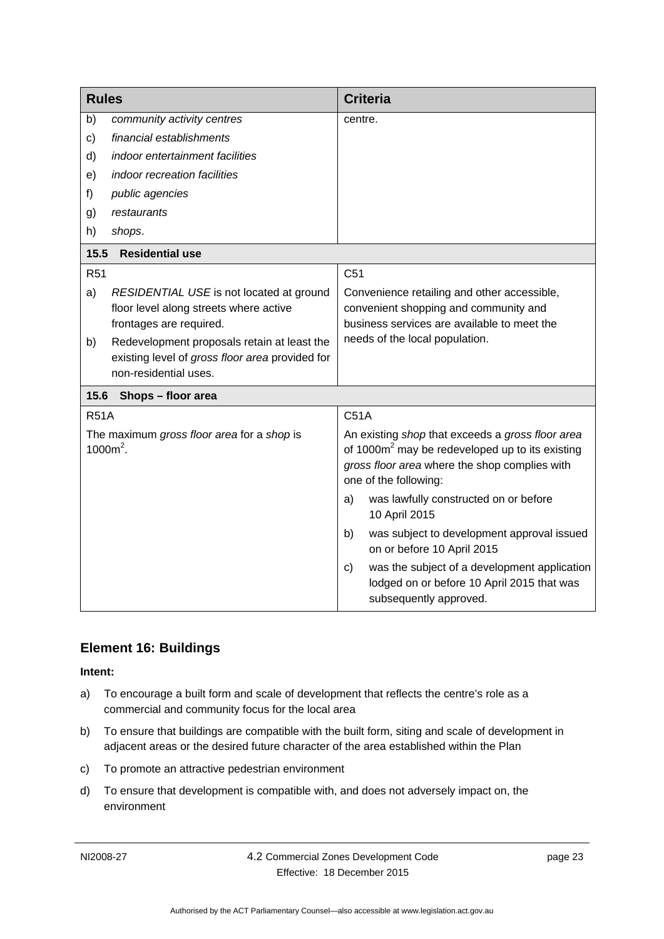<span id="page-28-0"></span>

| <b>Rules</b> |                                                                                                                         | <b>Criteria</b>                                                                                                                                                                           |
|--------------|-------------------------------------------------------------------------------------------------------------------------|-------------------------------------------------------------------------------------------------------------------------------------------------------------------------------------------|
| b)           | community activity centres                                                                                              | centre.                                                                                                                                                                                   |
| $\mathbf{C}$ | financial establishments                                                                                                |                                                                                                                                                                                           |
| d)           | indoor entertainment facilities                                                                                         |                                                                                                                                                                                           |
| e)           | indoor recreation facilities                                                                                            |                                                                                                                                                                                           |
| f)           | public agencies                                                                                                         |                                                                                                                                                                                           |
| g)           | restaurants                                                                                                             |                                                                                                                                                                                           |
| h)           | shops.                                                                                                                  |                                                                                                                                                                                           |
| 15.5         | <b>Residential use</b>                                                                                                  |                                                                                                                                                                                           |
| <b>R51</b>   |                                                                                                                         | C <sub>51</sub>                                                                                                                                                                           |
| a)           | RESIDENTIAL USE is not located at ground<br>floor level along streets where active<br>frontages are required.           | Convenience retailing and other accessible,<br>convenient shopping and community and<br>business services are available to meet the                                                       |
| b)           | Redevelopment proposals retain at least the<br>existing level of gross floor area provided for<br>non-residential uses. | needs of the local population.                                                                                                                                                            |
| 15.6         | Shops - floor area                                                                                                      |                                                                                                                                                                                           |
| <b>R51A</b>  |                                                                                                                         | C51A                                                                                                                                                                                      |
|              | The maximum gross floor area for a shop is<br>$1000m^2$ .                                                               | An existing shop that exceeds a gross floor area<br>of 1000m <sup>2</sup> may be redeveloped up to its existing<br>gross floor area where the shop complies with<br>one of the following: |
|              |                                                                                                                         | was lawfully constructed on or before<br>a)<br>10 April 2015                                                                                                                              |
|              |                                                                                                                         | was subject to development approval issued<br>b)<br>on or before 10 April 2015                                                                                                            |
|              |                                                                                                                         | was the subject of a development application<br>c)<br>lodged on or before 10 April 2015 that was<br>subsequently approved.                                                                |

### <span id="page-28-2"></span><span id="page-28-1"></span>**Element 16: Buildings**

- a) To encourage a built form and scale of development that reflects the centre's role as a commercial and community focus for the local area
- b) To ensure that buildings are compatible with the built form, siting and scale of development in adjacent areas or the desired future character of the area established within the Plan
- c) To promote an attractive pedestrian environment
- d) To ensure that development is compatible with, and does not adversely impact on, the environment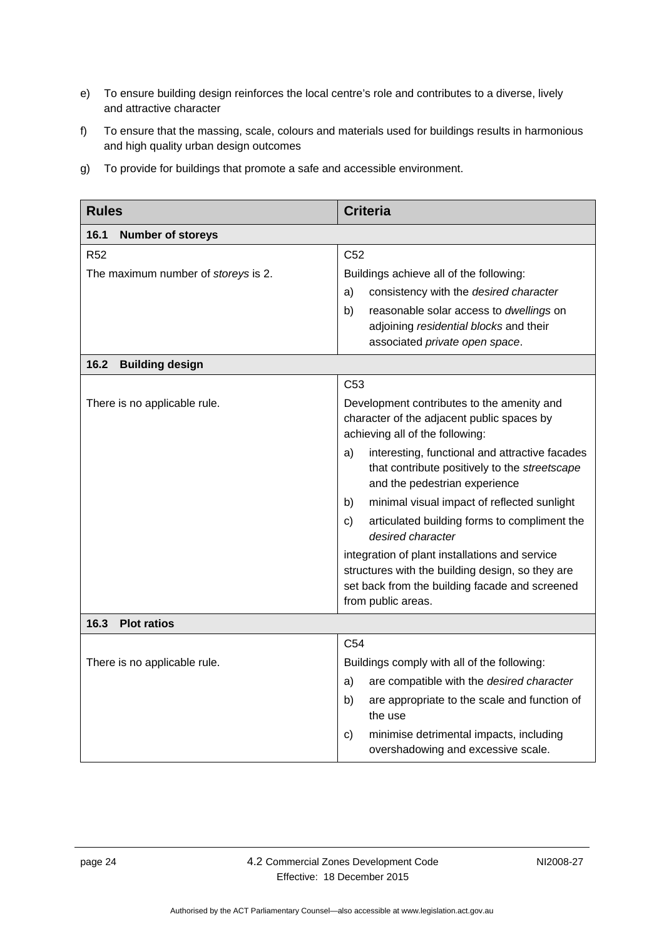- e) To ensure building design reinforces the local centre's role and contributes to a diverse, lively and attractive character
- f) To ensure that the massing, scale, colours and materials used for buildings results in harmonious and high quality urban design outcomes
- g) To provide for buildings that promote a safe and accessible environment.

<span id="page-29-2"></span><span id="page-29-1"></span><span id="page-29-0"></span>

| <b>Rules</b>                        | <b>Criteria</b>                                                                                                                                                            |
|-------------------------------------|----------------------------------------------------------------------------------------------------------------------------------------------------------------------------|
| 16.1<br><b>Number of storeys</b>    |                                                                                                                                                                            |
| <b>R52</b>                          | C <sub>52</sub>                                                                                                                                                            |
| The maximum number of storeys is 2. | Buildings achieve all of the following:                                                                                                                                    |
|                                     | consistency with the desired character<br>a)                                                                                                                               |
|                                     | b)<br>reasonable solar access to <i>dwellings</i> on<br>adjoining residential blocks and their                                                                             |
|                                     | associated private open space.                                                                                                                                             |
| 16.2<br><b>Building design</b>      |                                                                                                                                                                            |
|                                     | C <sub>53</sub>                                                                                                                                                            |
| There is no applicable rule.        | Development contributes to the amenity and<br>character of the adjacent public spaces by<br>achieving all of the following:                                                |
|                                     | interesting, functional and attractive facades<br>a)<br>that contribute positively to the streetscape<br>and the pedestrian experience                                     |
|                                     | minimal visual impact of reflected sunlight<br>b)                                                                                                                          |
|                                     | articulated building forms to compliment the<br>C)<br>desired character                                                                                                    |
|                                     | integration of plant installations and service<br>structures with the building design, so they are<br>set back from the building facade and screened<br>from public areas. |
| 16.3<br><b>Plot ratios</b>          |                                                                                                                                                                            |
|                                     | C <sub>54</sub>                                                                                                                                                            |
| There is no applicable rule.        | Buildings comply with all of the following:                                                                                                                                |
|                                     | are compatible with the desired character<br>a)                                                                                                                            |
|                                     | are appropriate to the scale and function of<br>b)<br>the use                                                                                                              |
|                                     | minimise detrimental impacts, including<br>C)<br>overshadowing and excessive scale.                                                                                        |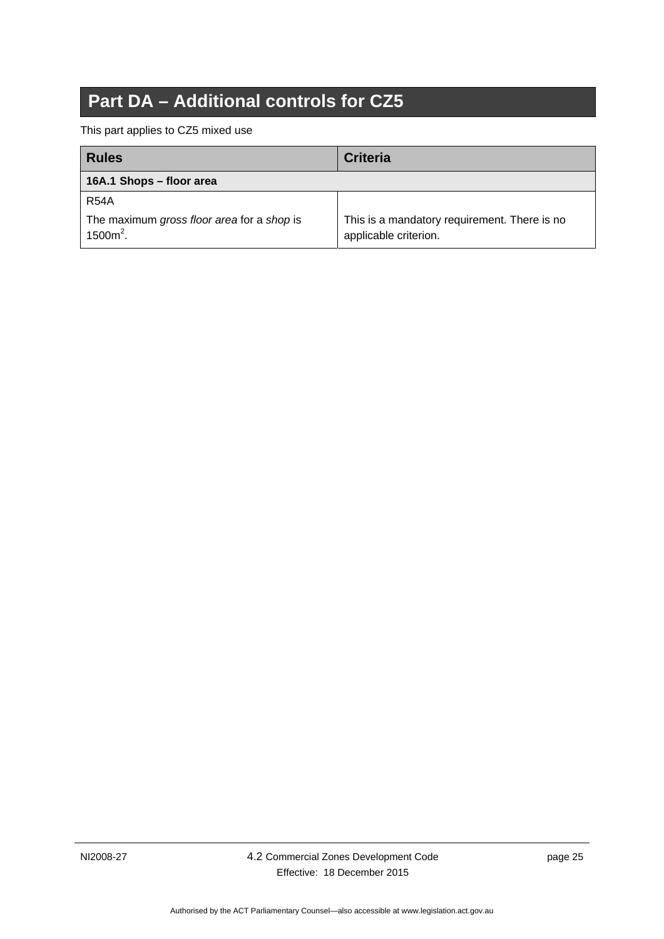# **Part DA – Additional controls for CZ5**

<span id="page-30-0"></span>This part applies to CZ5 mixed use

<span id="page-30-1"></span>

| <b>Rules</b>                                              | <b>Criteria</b>                                                       |
|-----------------------------------------------------------|-----------------------------------------------------------------------|
| 16A.1 Shops - floor area                                  |                                                                       |
| <b>R54A</b>                                               |                                                                       |
| The maximum gross floor area for a shop is<br>$1500m^2$ . | This is a mandatory requirement. There is no<br>applicable criterion. |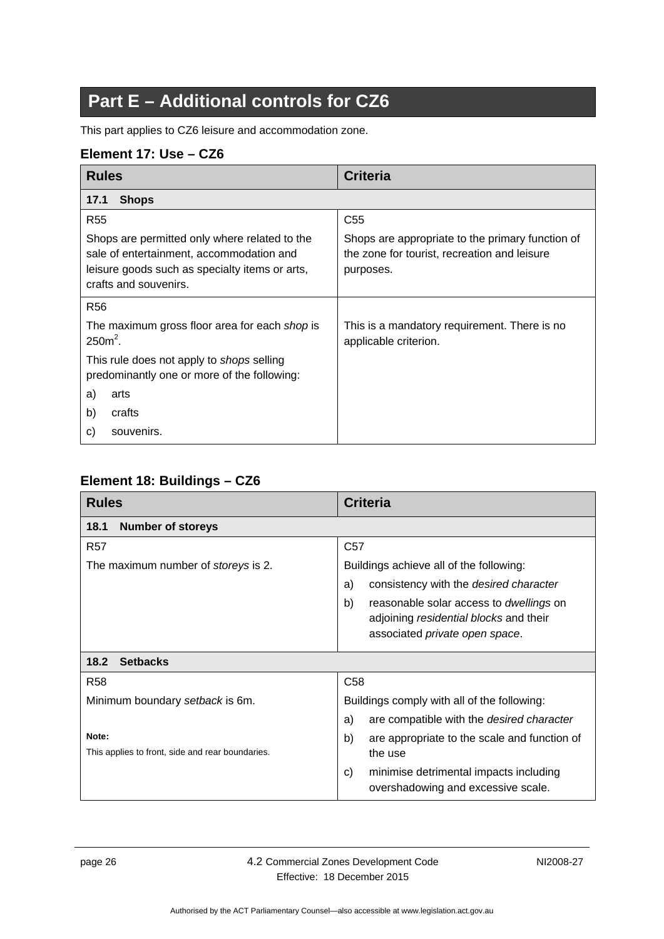# **Part E – Additional controls for CZ6**

<span id="page-31-0"></span>This part applies to CZ6 leisure and accommodation zone.

### <span id="page-31-1"></span>**Element 17: Use – CZ6**

<span id="page-31-2"></span>

| <b>Rules</b>                                                                                                                                                         | <b>Criteria</b>                                                                                               |
|----------------------------------------------------------------------------------------------------------------------------------------------------------------------|---------------------------------------------------------------------------------------------------------------|
| <b>Shops</b><br>17.1                                                                                                                                                 |                                                                                                               |
| <b>R55</b>                                                                                                                                                           | C <sub>55</sub>                                                                                               |
| Shops are permitted only where related to the<br>sale of entertainment, accommodation and<br>leisure goods such as specialty items or arts,<br>crafts and souvenirs. | Shops are appropriate to the primary function of<br>the zone for tourist, recreation and leisure<br>purposes. |
| R <sub>56</sub>                                                                                                                                                      |                                                                                                               |
| The maximum gross floor area for each shop is<br>$2502$ .                                                                                                            | This is a mandatory requirement. There is no<br>applicable criterion.                                         |
| This rule does not apply to <i>shops</i> selling<br>predominantly one or more of the following:                                                                      |                                                                                                               |
| a)<br>arts                                                                                                                                                           |                                                                                                               |
| b)<br>crafts                                                                                                                                                         |                                                                                                               |
| souvenirs.<br>C)                                                                                                                                                     |                                                                                                               |

### <span id="page-31-3"></span>**Element 18: Buildings – CZ6**

<span id="page-31-5"></span><span id="page-31-4"></span>

| <b>Rules</b>                                     | <b>Criteria</b>                                                                                                                  |
|--------------------------------------------------|----------------------------------------------------------------------------------------------------------------------------------|
| <b>Number of storeys</b><br>18.1                 |                                                                                                                                  |
| <b>R57</b>                                       | C <sub>57</sub>                                                                                                                  |
| The maximum number of <i>storeys</i> is 2.       | Buildings achieve all of the following:                                                                                          |
|                                                  | consistency with the desired character<br>a)                                                                                     |
|                                                  | b)<br>reasonable solar access to <i>dwellings</i> on<br>adjoining residential blocks and their<br>associated private open space. |
| <b>Setbacks</b><br>18.2                          |                                                                                                                                  |
| <b>R58</b>                                       | C <sub>58</sub>                                                                                                                  |
| Minimum boundary setback is 6m.                  | Buildings comply with all of the following:                                                                                      |
|                                                  | are compatible with the desired character<br>a)                                                                                  |
| Note:                                            | b)<br>are appropriate to the scale and function of                                                                               |
| This applies to front, side and rear boundaries. | the use                                                                                                                          |
|                                                  | minimise detrimental impacts including<br>C)<br>overshadowing and excessive scale.                                               |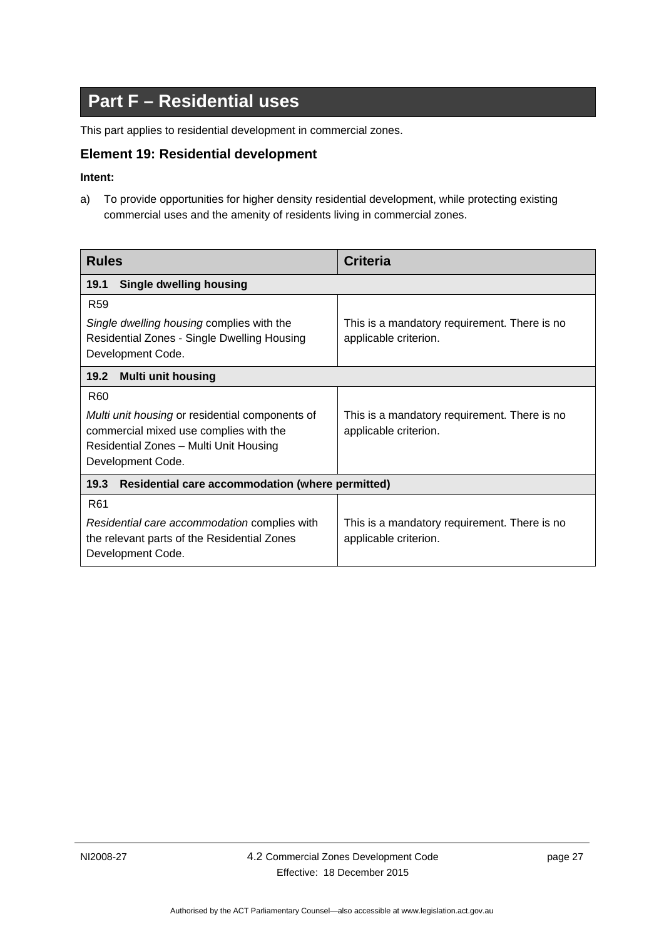# **Part F – Residential uses**

<span id="page-32-0"></span>This part applies to residential development in commercial zones.

#### <span id="page-32-1"></span>**Element 19: Residential development**

#### **Intent:**

a) To provide opportunities for higher density residential development, while protecting existing commercial uses and the amenity of residents living in commercial zones.

<span id="page-32-4"></span><span id="page-32-3"></span><span id="page-32-2"></span>

| <b>Rules</b>                                                                                                                                                                | <b>Criteria</b>                                                       |
|-----------------------------------------------------------------------------------------------------------------------------------------------------------------------------|-----------------------------------------------------------------------|
| <b>Single dwelling housing</b><br>19.1                                                                                                                                      |                                                                       |
| R <sub>59</sub><br>Single dwelling housing complies with the<br>Residential Zones - Single Dwelling Housing<br>Development Code.                                            | This is a mandatory requirement. There is no<br>applicable criterion. |
| <b>Multi unit housing</b><br>19.2                                                                                                                                           |                                                                       |
| R <sub>60</sub><br>Multi unit housing or residential components of<br>commercial mixed use complies with the<br>Residential Zones - Multi Unit Housing<br>Development Code. | This is a mandatory requirement. There is no<br>applicable criterion. |
| 19.3<br>Residential care accommodation (where permitted)                                                                                                                    |                                                                       |
| R <sub>61</sub><br>Residential care accommodation complies with<br>the relevant parts of the Residential Zones<br>Development Code.                                         | This is a mandatory requirement. There is no<br>applicable criterion. |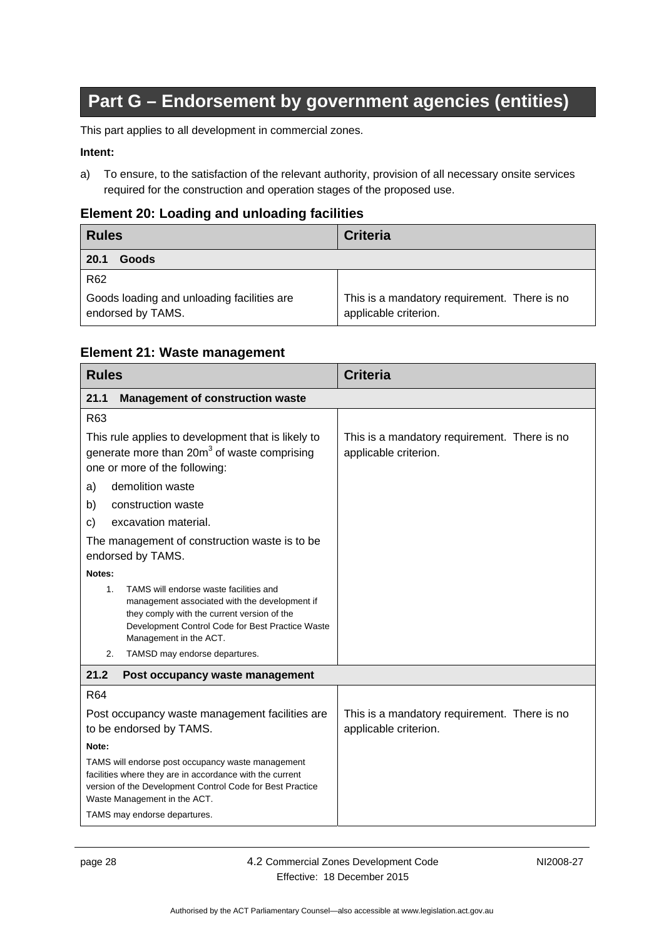# **Part G – Endorsement by government agencies (entities)**

<span id="page-33-0"></span>This part applies to all development in commercial zones.

#### **Intent:**

a) To ensure, to the satisfaction of the relevant authority, provision of all necessary onsite services required for the construction and operation stages of the proposed use.

#### <span id="page-33-1"></span>**Element 20: Loading and unloading facilities**

<span id="page-33-2"></span>

| <b>Rules</b>                                                    | <b>Criteria</b>                                                       |
|-----------------------------------------------------------------|-----------------------------------------------------------------------|
| 20.1<br>Goods                                                   |                                                                       |
| R <sub>62</sub>                                                 |                                                                       |
| Goods loading and unloading facilities are<br>endorsed by TAMS. | This is a mandatory requirement. There is no<br>applicable criterion. |

#### <span id="page-33-3"></span>**Element 21: Waste management**

<span id="page-33-5"></span><span id="page-33-4"></span>

| <b>Rules</b>                                                                                                                                                                                                                               | <b>Criteria</b>                                                       |
|--------------------------------------------------------------------------------------------------------------------------------------------------------------------------------------------------------------------------------------------|-----------------------------------------------------------------------|
| <b>Management of construction waste</b><br>21.1                                                                                                                                                                                            |                                                                       |
| R63                                                                                                                                                                                                                                        |                                                                       |
| This rule applies to development that is likely to<br>generate more than 20m <sup>3</sup> of waste comprising<br>one or more of the following:                                                                                             | This is a mandatory requirement. There is no<br>applicable criterion. |
| demolition waste<br>a)                                                                                                                                                                                                                     |                                                                       |
| construction waste<br>b)                                                                                                                                                                                                                   |                                                                       |
| excavation material.<br>C)                                                                                                                                                                                                                 |                                                                       |
| The management of construction waste is to be<br>endorsed by TAMS.                                                                                                                                                                         |                                                                       |
| Notes:                                                                                                                                                                                                                                     |                                                                       |
| TAMS will endorse waste facilities and<br>1.<br>management associated with the development if<br>they comply with the current version of the<br>Development Control Code for Best Practice Waste<br>Management in the ACT.                 |                                                                       |
| TAMSD may endorse departures.<br>2.                                                                                                                                                                                                        |                                                                       |
| 21.2<br>Post occupancy waste management                                                                                                                                                                                                    |                                                                       |
| R64                                                                                                                                                                                                                                        |                                                                       |
| Post occupancy waste management facilities are<br>to be endorsed by TAMS.                                                                                                                                                                  | This is a mandatory requirement. There is no<br>applicable criterion. |
| Note:                                                                                                                                                                                                                                      |                                                                       |
| TAMS will endorse post occupancy waste management<br>facilities where they are in accordance with the current<br>version of the Development Control Code for Best Practice<br>Waste Management in the ACT.<br>TAMS may endorse departures. |                                                                       |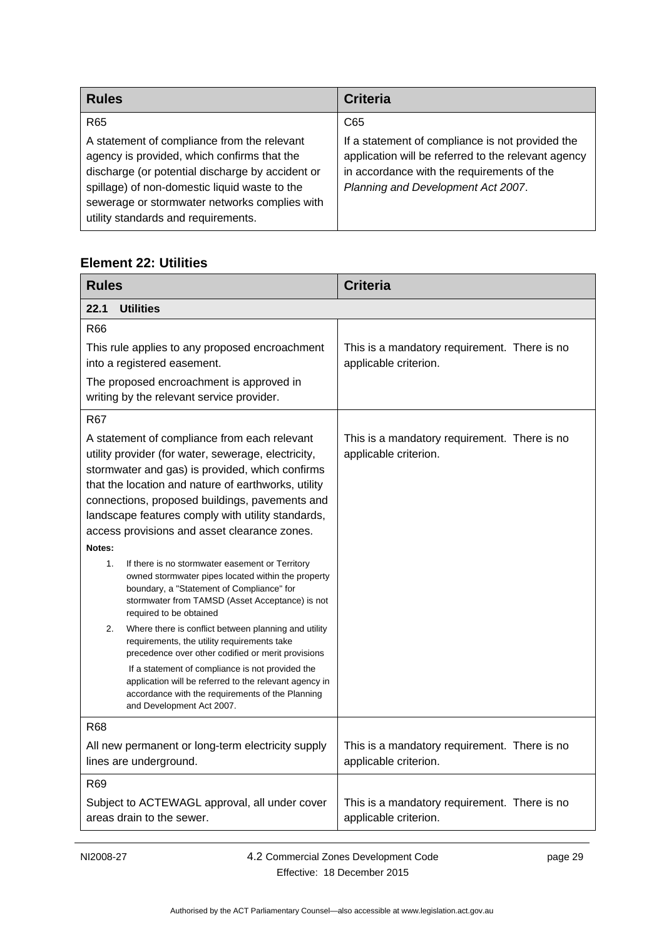| <b>Rules</b>                                                                                                                                                                                                                                                                            | <b>Criteria</b>                                                                                                                                                                             |
|-----------------------------------------------------------------------------------------------------------------------------------------------------------------------------------------------------------------------------------------------------------------------------------------|---------------------------------------------------------------------------------------------------------------------------------------------------------------------------------------------|
| R <sub>65</sub>                                                                                                                                                                                                                                                                         | C65                                                                                                                                                                                         |
| A statement of compliance from the relevant<br>agency is provided, which confirms that the<br>discharge (or potential discharge by accident or<br>spillage) of non-domestic liquid waste to the<br>sewerage or stormwater networks complies with<br>utility standards and requirements. | If a statement of compliance is not provided the<br>application will be referred to the relevant agency<br>in accordance with the requirements of the<br>Planning and Development Act 2007. |

# <span id="page-34-0"></span>**Element 22: Utilities**

<span id="page-34-1"></span>

| <b>Rules</b>                                                                                                                                                                                                                                                                                                                                                                                                                                                                                  | <b>Criteria</b>                                                       |
|-----------------------------------------------------------------------------------------------------------------------------------------------------------------------------------------------------------------------------------------------------------------------------------------------------------------------------------------------------------------------------------------------------------------------------------------------------------------------------------------------|-----------------------------------------------------------------------|
| 22.1<br><b>Utilities</b>                                                                                                                                                                                                                                                                                                                                                                                                                                                                      |                                                                       |
| R66                                                                                                                                                                                                                                                                                                                                                                                                                                                                                           |                                                                       |
| This rule applies to any proposed encroachment<br>into a registered easement.                                                                                                                                                                                                                                                                                                                                                                                                                 | This is a mandatory requirement. There is no<br>applicable criterion. |
| The proposed encroachment is approved in<br>writing by the relevant service provider.                                                                                                                                                                                                                                                                                                                                                                                                         |                                                                       |
| R67                                                                                                                                                                                                                                                                                                                                                                                                                                                                                           |                                                                       |
| A statement of compliance from each relevant<br>utility provider (for water, sewerage, electricity,<br>stormwater and gas) is provided, which confirms<br>that the location and nature of earthworks, utility<br>connections, proposed buildings, pavements and<br>landscape features comply with utility standards,<br>access provisions and asset clearance zones.<br>Notes:<br>If there is no stormwater easement or Territory<br>1.<br>owned stormwater pipes located within the property | This is a mandatory requirement. There is no<br>applicable criterion. |
| boundary, a "Statement of Compliance" for<br>stormwater from TAMSD (Asset Acceptance) is not<br>required to be obtained                                                                                                                                                                                                                                                                                                                                                                       |                                                                       |
| Where there is conflict between planning and utility<br>2.<br>requirements, the utility requirements take<br>precedence over other codified or merit provisions                                                                                                                                                                                                                                                                                                                               |                                                                       |
| If a statement of compliance is not provided the<br>application will be referred to the relevant agency in<br>accordance with the requirements of the Planning<br>and Development Act 2007.                                                                                                                                                                                                                                                                                                   |                                                                       |
| <b>R68</b>                                                                                                                                                                                                                                                                                                                                                                                                                                                                                    |                                                                       |
| All new permanent or long-term electricity supply<br>lines are underground.                                                                                                                                                                                                                                                                                                                                                                                                                   | This is a mandatory requirement. There is no<br>applicable criterion. |
| R <sub>69</sub>                                                                                                                                                                                                                                                                                                                                                                                                                                                                               |                                                                       |
| Subject to ACTEWAGL approval, all under cover<br>areas drain to the sewer.                                                                                                                                                                                                                                                                                                                                                                                                                    | This is a mandatory requirement. There is no<br>applicable criterion. |